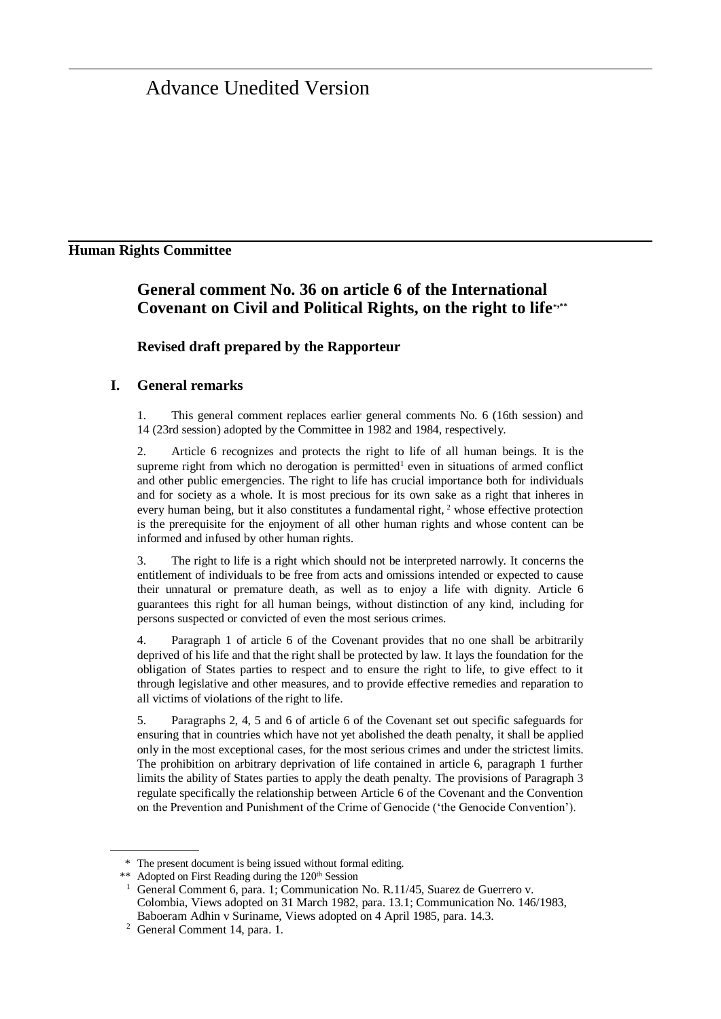# Advance Unedited Version

### **Human Rights Committee**

## **General comment No. 36 on article 6 of the International Covenant on Civil and Political Rights, on the right to life\* ,\*\***

#### **Revised draft prepared by the Rapporteur**

#### **I. General remarks**

1. This general comment replaces earlier general comments No. 6 (16th session) and 14 (23rd session) adopted by the Committee in 1982 and 1984, respectively.

Article 6 recognizes and protects the right to life of all human beings. It is the supreme right from which no derogation is permitted<sup>1</sup> even in situations of armed conflict and other public emergencies. The right to life has crucial importance both for individuals and for society as a whole. It is most precious for its own sake as a right that inheres in every human being, but it also constitutes a fundamental right, <sup>2</sup> whose effective protection is the prerequisite for the enjoyment of all other human rights and whose content can be informed and infused by other human rights.

3. The right to life is a right which should not be interpreted narrowly. It concerns the entitlement of individuals to be free from acts and omissions intended or expected to cause their unnatural or premature death, as well as to enjoy a life with dignity. Article 6 guarantees this right for all human beings, without distinction of any kind, including for persons suspected or convicted of even the most serious crimes.

4. Paragraph 1 of article 6 of the Covenant provides that no one shall be arbitrarily deprived of his life and that the right shall be protected by law. It lays the foundation for the obligation of States parties to respect and to ensure the right to life, to give effect to it through legislative and other measures, and to provide effective remedies and reparation to all victims of violations of the right to life.

5. Paragraphs 2, 4, 5 and 6 of article 6 of the Covenant set out specific safeguards for ensuring that in countries which have not yet abolished the death penalty, it shall be applied only in the most exceptional cases, for the most serious crimes and under the strictest limits. The prohibition on arbitrary deprivation of life contained in article 6, paragraph 1 further limits the ability of States parties to apply the death penalty. The provisions of Paragraph 3 regulate specifically the relationship between Article 6 of the Covenant and the Convention on the Prevention and Punishment of the Crime of Genocide ('the Genocide Convention').

<sup>\*</sup> The present document is being issued without formal editing.

<sup>\*\*</sup> Adopted on First Reading during the 120<sup>th</sup> Session

General Comment 6, para. 1; Communication No. R.11/45, Suarez de Guerrero v. Colombia, Views adopted on 31 March 1982, para. 13.1; Communication No. 146/1983, Baboeram Adhin v Suriname, Views adopted on 4 April 1985, para. 14.3.

<sup>2</sup> General Comment 14, para. 1.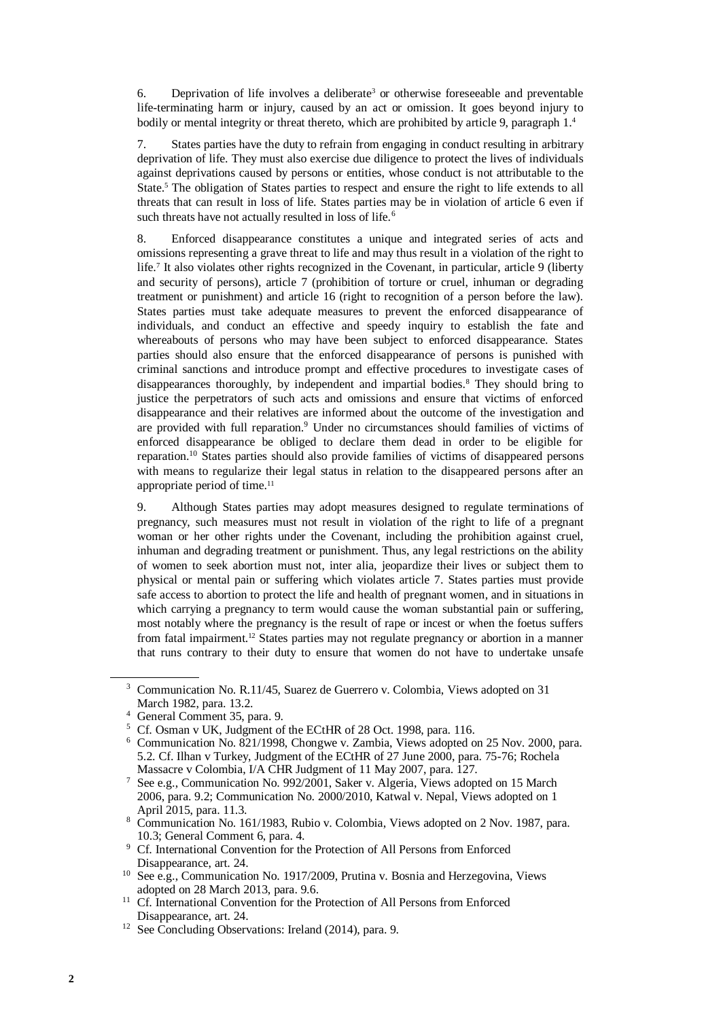6. Deprivation of life involves a deliberate<sup>3</sup> or otherwise foreseeable and preventable life-terminating harm or injury, caused by an act or omission. It goes beyond injury to bodily or mental integrity or threat thereto, which are prohibited by article 9, paragraph  $1<sup>4</sup>$ 

7. States parties have the duty to refrain from engaging in conduct resulting in arbitrary deprivation of life. They must also exercise due diligence to protect the lives of individuals against deprivations caused by persons or entities, whose conduct is not attributable to the State.<sup>5</sup> The obligation of States parties to respect and ensure the right to life extends to all threats that can result in loss of life. States parties may be in violation of article 6 even if such threats have not actually resulted in loss of life.<sup>6</sup>

8. Enforced disappearance constitutes a unique and integrated series of acts and omissions representing a grave threat to life and may thus result in a violation of the right to life.<sup>7</sup> It also violates other rights recognized in the Covenant, in particular, article 9 (liberty and security of persons), article 7 (prohibition of torture or cruel, inhuman or degrading treatment or punishment) and article 16 (right to recognition of a person before the law). States parties must take adequate measures to prevent the enforced disappearance of individuals, and conduct an effective and speedy inquiry to establish the fate and whereabouts of persons who may have been subject to enforced disappearance. States parties should also ensure that the enforced disappearance of persons is punished with criminal sanctions and introduce prompt and effective procedures to investigate cases of disappearances thoroughly, by independent and impartial bodies.<sup>8</sup> They should bring to justice the perpetrators of such acts and omissions and ensure that victims of enforced disappearance and their relatives are informed about the outcome of the investigation and are provided with full reparation.<sup>9</sup> Under no circumstances should families of victims of enforced disappearance be obliged to declare them dead in order to be eligible for reparation.<sup>10</sup> States parties should also provide families of victims of disappeared persons with means to regularize their legal status in relation to the disappeared persons after an appropriate period of time.<sup>11</sup>

9. Although States parties may adopt measures designed to regulate terminations of pregnancy, such measures must not result in violation of the right to life of a pregnant woman or her other rights under the Covenant, including the prohibition against cruel, inhuman and degrading treatment or punishment. Thus, any legal restrictions on the ability of women to seek abortion must not, inter alia, jeopardize their lives or subject them to physical or mental pain or suffering which violates article 7. States parties must provide safe access to abortion to protect the life and health of pregnant women, and in situations in which carrying a pregnancy to term would cause the woman substantial pain or suffering, most notably where the pregnancy is the result of rape or incest or when the foetus suffers from fatal impairment.<sup>12</sup> States parties may not regulate pregnancy or abortion in a manner that runs contrary to their duty to ensure that women do not have to undertake unsafe

<sup>3</sup> Communication No. R.11/45, Suarez de Guerrero v. Colombia, Views adopted on 31 March 1982, para. 13.2.

<sup>4</sup> General Comment 35, para. 9.

<sup>5</sup> Cf. Osman v UK, Judgment of the ECtHR of 28 Oct. 1998, para. 116.

<sup>6</sup> Communication No. 821/1998, Chongwe v. Zambia, Views adopted on 25 Nov. 2000, para. 5.2. Cf. Ilhan v Turkey, Judgment of the ECtHR of 27 June 2000, para. 75-76; Rochela Massacre v Colombia, I/A CHR Judgment of 11 May 2007, para. 127.

<sup>7</sup> See e.g., Communication No. 992/2001, Saker v. Algeria, Views adopted on 15 March 2006, para. 9.2; Communication No. 2000/2010, Katwal v. Nepal, Views adopted on 1 April 2015, para. 11.3.

<sup>8</sup> Communication No. 161/1983, Rubio v. Colombia, Views adopted on 2 Nov. 1987, para. 10.3; General Comment 6, para. 4.

<sup>9</sup> Cf. International Convention for the Protection of All Persons from Enforced Disappearance, art. 24.

<sup>&</sup>lt;sup>10</sup> See e.g., Communication No. 1917/2009, Prutina v. Bosnia and Herzegovina, Views adopted on 28 March 2013, para. 9.6.

<sup>&</sup>lt;sup>11</sup> Cf. International Convention for the Protection of All Persons from Enforced Disappearance, art. 24.

<sup>&</sup>lt;sup>12</sup> See Concluding Observations: Ireland (2014), para. 9.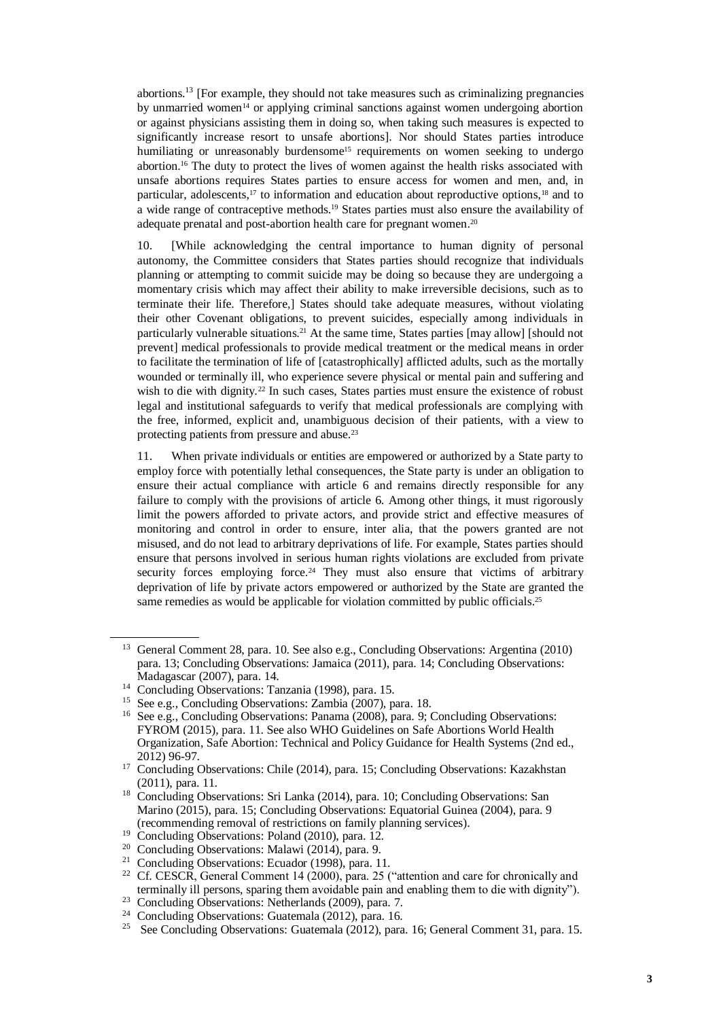abortions.<sup>13</sup> [For example, they should not take measures such as criminalizing pregnancies by unmarried women<sup>14</sup> or applying criminal sanctions against women undergoing abortion or against physicians assisting them in doing so, when taking such measures is expected to significantly increase resort to unsafe abortions]. Nor should States parties introduce humiliating or unreasonably burdensome<sup>15</sup> requirements on women seeking to undergo abortion. <sup>16</sup> The duty to protect the lives of women against the health risks associated with unsafe abortions requires States parties to ensure access for women and men, and, in particular, adolescents,<sup>17</sup> to information and education about reproductive options,<sup>18</sup> and to a wide range of contraceptive methods.<sup>19</sup> States parties must also ensure the availability of adequate prenatal and post-abortion health care for pregnant women.<sup>20</sup>

10. [While acknowledging the central importance to human dignity of personal autonomy, the Committee considers that States parties should recognize that individuals planning or attempting to commit suicide may be doing so because they are undergoing a momentary crisis which may affect their ability to make irreversible decisions, such as to terminate their life. Therefore,] States should take adequate measures, without violating their other Covenant obligations, to prevent suicides, especially among individuals in particularly vulnerable situations.<sup>21</sup> At the same time, States parties [may allow] [should not prevent] medical professionals to provide medical treatment or the medical means in order to facilitate the termination of life of [catastrophically] afflicted adults, such as the mortally wounded or terminally ill, who experience severe physical or mental pain and suffering and wish to die with dignity.<sup>22</sup> In such cases, States parties must ensure the existence of robust legal and institutional safeguards to verify that medical professionals are complying with the free, informed, explicit and, unambiguous decision of their patients, with a view to protecting patients from pressure and abuse.<sup>23</sup>

11. When private individuals or entities are empowered or authorized by a State party to employ force with potentially lethal consequences, the State party is under an obligation to ensure their actual compliance with article 6 and remains directly responsible for any failure to comply with the provisions of article 6. Among other things, it must rigorously limit the powers afforded to private actors, and provide strict and effective measures of monitoring and control in order to ensure, inter alia, that the powers granted are not misused, and do not lead to arbitrary deprivations of life. For example, States parties should ensure that persons involved in serious human rights violations are excluded from private security forces employing force.<sup>24</sup> They must also ensure that victims of arbitrary deprivation of life by private actors empowered or authorized by the State are granted the same remedies as would be applicable for violation committed by public officials.<sup>25</sup>

<sup>&</sup>lt;sup>13</sup> General Comment 28, para. 10. See also e.g., Concluding Observations: Argentina (2010) para. 13; Concluding Observations: Jamaica (2011), para. 14; Concluding Observations: Madagascar (2007), para. 14.

<sup>&</sup>lt;sup>14</sup> Concluding Observations: Tanzania (1998), para. 15.

<sup>15</sup> See e.g., Concluding Observations: Zambia (2007), para. 18.

<sup>&</sup>lt;sup>16</sup> See e.g., Concluding Observations: Panama (2008), para. 9; Concluding Observations: FYROM (2015), para. 11. See also WHO Guidelines on Safe Abortions World Health Organization, Safe Abortion: Technical and Policy Guidance for Health Systems (2nd ed., 2012) 96-97.

<sup>&</sup>lt;sup>17</sup> Concluding Observations: Chile (2014), para. 15; Concluding Observations: Kazakhstan (2011), para. 11.

<sup>&</sup>lt;sup>18</sup> Concluding Observations: Sri Lanka (2014), para. 10; Concluding Observations: San Marino (2015), para. 15; Concluding Observations: Equatorial Guinea (2004), para. 9 (recommending removal of restrictions on family planning services).

<sup>&</sup>lt;sup>19</sup> Concluding Observations: Poland (2010), para. 12.

<sup>20</sup> Concluding Observations: Malawi (2014), para. 9.

<sup>&</sup>lt;sup>21</sup> Concluding Observations: Ecuador (1998), para. 11.

<sup>&</sup>lt;sup>22</sup> Cf. CESCR, General Comment 14 (2000), para. 25 ("attention and care for chronically and terminally ill persons, sparing them avoidable pain and enabling them to die with dignity").

<sup>23</sup> Concluding Observations: Netherlands (2009), para. 7.

<sup>24</sup> Concluding Observations: Guatemala (2012), para. 16.

<sup>&</sup>lt;sup>25</sup> See Concluding Observations: Guatemala (2012), para. 16; General Comment 31, para. 15.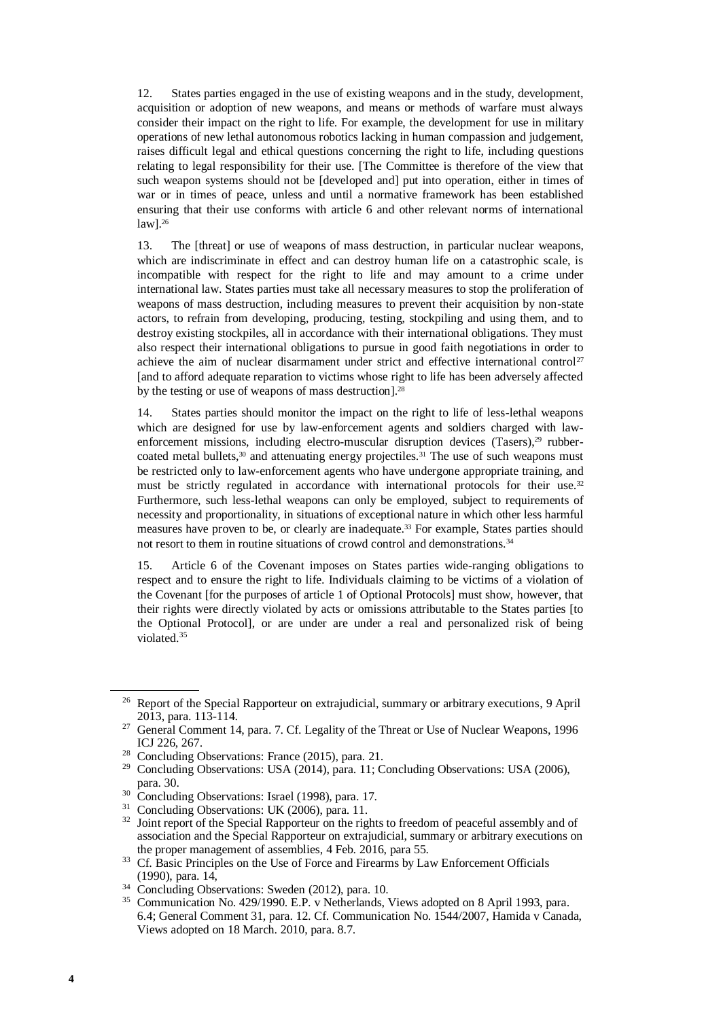12. States parties engaged in the use of existing weapons and in the study, development, acquisition or adoption of new weapons, and means or methods of warfare must always consider their impact on the right to life. For example, the development for use in military operations of new lethal autonomous robotics lacking in human compassion and judgement, raises difficult legal and ethical questions concerning the right to life, including questions relating to legal responsibility for their use. [The Committee is therefore of the view that such weapon systems should not be [developed and] put into operation, either in times of war or in times of peace, unless and until a normative framework has been established ensuring that their use conforms with article 6 and other relevant norms of international law]. 26

13. The [threat] or use of weapons of mass destruction, in particular nuclear weapons, which are indiscriminate in effect and can destroy human life on a catastrophic scale, is incompatible with respect for the right to life and may amount to a crime under international law. States parties must take all necessary measures to stop the proliferation of weapons of mass destruction, including measures to prevent their acquisition by non-state actors, to refrain from developing, producing, testing, stockpiling and using them, and to destroy existing stockpiles, all in accordance with their international obligations. They must also respect their international obligations to pursue in good faith negotiations in order to achieve the aim of nuclear disarmament under strict and effective international control<sup>27</sup> [and to afford adequate reparation to victims whose right to life has been adversely affected by the testing or use of weapons of mass destruction].<sup>28</sup>

14. States parties should monitor the impact on the right to life of less-lethal weapons which are designed for use by law-enforcement agents and soldiers charged with lawenforcement missions, including electro-muscular disruption devices (Tasers),<sup>29</sup> rubbercoated metal bullets,<sup>30</sup> and attenuating energy projectiles.<sup>31</sup> The use of such weapons must be restricted only to law-enforcement agents who have undergone appropriate training, and must be strictly regulated in accordance with international protocols for their use.<sup>32</sup> Furthermore, such less-lethal weapons can only be employed, subject to requirements of necessity and proportionality, in situations of exceptional nature in which other less harmful measures have proven to be, or clearly are inadequate.<sup>33</sup> For example, States parties should not resort to them in routine situations of crowd control and demonstrations.<sup>34</sup>

15. Article 6 of the Covenant imposes on States parties wide-ranging obligations to respect and to ensure the right to life. Individuals claiming to be victims of a violation of the Covenant [for the purposes of article 1 of Optional Protocols] must show, however, that their rights were directly violated by acts or omissions attributable to the States parties [to the Optional Protocol], or are under are under a real and personalized risk of being violated. 35

<sup>&</sup>lt;sup>26</sup> Report of the Special Rapporteur on extrajudicial, summary or arbitrary executions, 9 April 2013, para. 113-114.

<sup>&</sup>lt;sup>27</sup> General Comment 14, para. 7. Cf. Legality of the Threat or Use of Nuclear Weapons, 1996 ICJ 226, 267.

<sup>28</sup> Concluding Observations: France (2015), para. 21.

<sup>&</sup>lt;sup>29</sup> Concluding Observations: USA (2014), para. 11; Concluding Observations: USA (2006), para. 30.

<sup>&</sup>lt;sup>30</sup> Concluding Observations: Israel (1998), para. 17.

<sup>&</sup>lt;sup>31</sup> Concluding Observations: UK (2006), para. 11.

 $32$  Joint report of the Special Rapporteur on the rights to freedom of peaceful assembly and of association and the Special Rapporteur on extrajudicial, summary or arbitrary executions on the proper management of assemblies, 4 Feb. 2016, para 55.

<sup>&</sup>lt;sup>33</sup> Cf. Basic Principles on the Use of Force and Firearms by Law Enforcement Officials (1990), para. 14,

<sup>&</sup>lt;sup>34</sup> Concluding Observations: Sweden (2012), para. 10.

<sup>35</sup> Communication No. 429/1990. E.P. v Netherlands, Views adopted on 8 April 1993, para. 6.4; General Comment 31, para. 12. Cf. Communication No. 1544/2007, Hamida v Canada, Views adopted on 18 March. 2010, para. 8.7.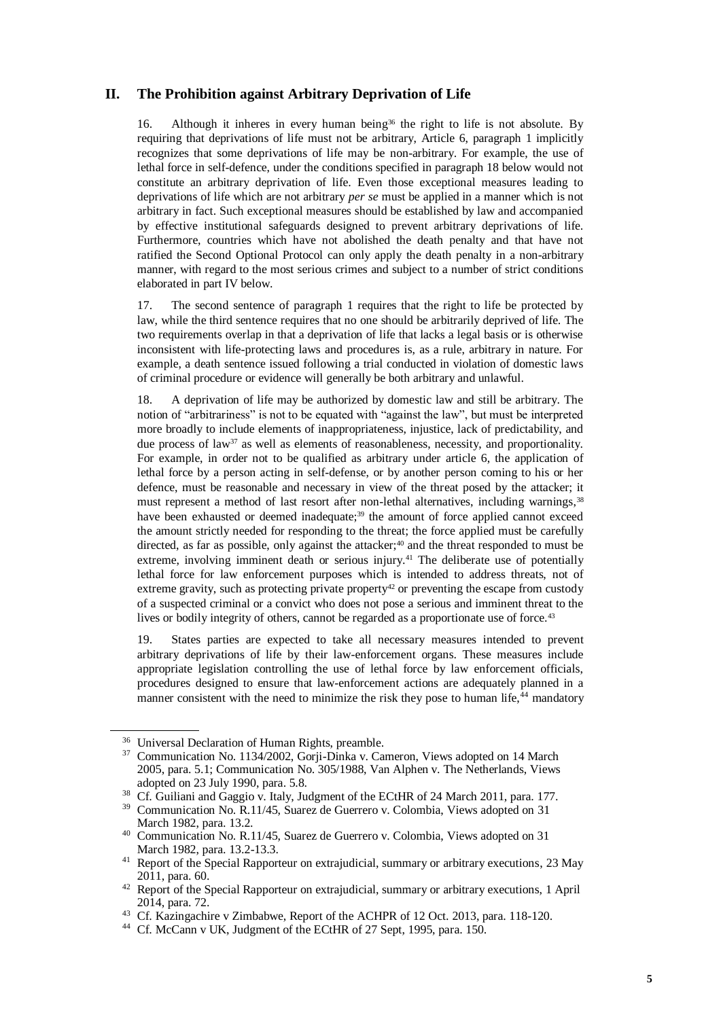#### **II. The Prohibition against Arbitrary Deprivation of Life**

16. Although it inheres in every human being<sup>36</sup> the right to life is not absolute. By requiring that deprivations of life must not be arbitrary, Article 6, paragraph 1 implicitly recognizes that some deprivations of life may be non-arbitrary. For example, the use of lethal force in self-defence, under the conditions specified in paragraph 18 below would not constitute an arbitrary deprivation of life. Even those exceptional measures leading to deprivations of life which are not arbitrary *per se* must be applied in a manner which is not arbitrary in fact. Such exceptional measures should be established by law and accompanied by effective institutional safeguards designed to prevent arbitrary deprivations of life. Furthermore, countries which have not abolished the death penalty and that have not ratified the Second Optional Protocol can only apply the death penalty in a non-arbitrary manner, with regard to the most serious crimes and subject to a number of strict conditions elaborated in part IV below.

17. The second sentence of paragraph 1 requires that the right to life be protected by law, while the third sentence requires that no one should be arbitrarily deprived of life. The two requirements overlap in that a deprivation of life that lacks a legal basis or is otherwise inconsistent with life-protecting laws and procedures is, as a rule, arbitrary in nature. For example, a death sentence issued following a trial conducted in violation of domestic laws of criminal procedure or evidence will generally be both arbitrary and unlawful.

18. A deprivation of life may be authorized by domestic law and still be arbitrary. The notion of "arbitrariness" is not to be equated with "against the law", but must be interpreted more broadly to include elements of inappropriateness, injustice, lack of predictability, and due process of law<sup>37</sup> as well as elements of reasonableness, necessity, and proportionality. For example, in order not to be qualified as arbitrary under article 6, the application of lethal force by a person acting in self-defense, or by another person coming to his or her defence, must be reasonable and necessary in view of the threat posed by the attacker; it must represent a method of last resort after non-lethal alternatives, including warnings,<sup>38</sup> have been exhausted or deemed inadequate;<sup>39</sup> the amount of force applied cannot exceed the amount strictly needed for responding to the threat; the force applied must be carefully directed, as far as possible, only against the attacker;<sup>40</sup> and the threat responded to must be extreme, involving imminent death or serious injury.<sup>41</sup> The deliberate use of potentially lethal force for law enforcement purposes which is intended to address threats, not of extreme gravity, such as protecting private property<sup>42</sup> or preventing the escape from custody of a suspected criminal or a convict who does not pose a serious and imminent threat to the lives or bodily integrity of others, cannot be regarded as a proportionate use of force.<sup>43</sup>

19. States parties are expected to take all necessary measures intended to prevent arbitrary deprivations of life by their law-enforcement organs. These measures include appropriate legislation controlling the use of lethal force by law enforcement officials, procedures designed to ensure that law-enforcement actions are adequately planned in a manner consistent with the need to minimize the risk they pose to human life,<sup>44</sup> mandatory

<sup>&</sup>lt;sup>36</sup> Universal Declaration of Human Rights, preamble.

<sup>&</sup>lt;sup>37</sup> Communication No. 1134/2002, Gorji-Dinka v. Cameron, Views adopted on 14 March 2005, para. 5.1; Communication No. 305/1988, Van Alphen v. The Netherlands, Views adopted on 23 July 1990, para. 5.8.

<sup>&</sup>lt;sup>38</sup> Cf. Guiliani and Gaggio v. Italy, Judgment of the ECtHR of 24 March 2011, para. 177.<br><sup>39</sup> Communication No. B 11/45, Suggest de Guerrere v. Colombia, Views edented on <sup>21</sup>

Communication No. R.11/45, Suarez de Guerrero v. Colombia, Views adopted on 31 March 1982, para. 13.2.

<sup>40</sup> Communication No. R.11/45, Suarez de Guerrero v. Colombia, Views adopted on 31 March 1982, para. 13.2-13.3.

<sup>&</sup>lt;sup>41</sup> Report of the Special Rapporteur on extrajudicial, summary or arbitrary executions, 23 May 2011, para. 60.

<sup>&</sup>lt;sup>42</sup> Report of the Special Rapporteur on extrajudicial, summary or arbitrary executions, 1 April 2014, para. 72.

<sup>43</sup> Cf. Kazingachire v Zimbabwe, Report of the ACHPR of 12 Oct. 2013, para. 118-120.

<sup>44</sup> Cf. McCann v UK, Judgment of the ECtHR of 27 Sept, 1995, para. 150.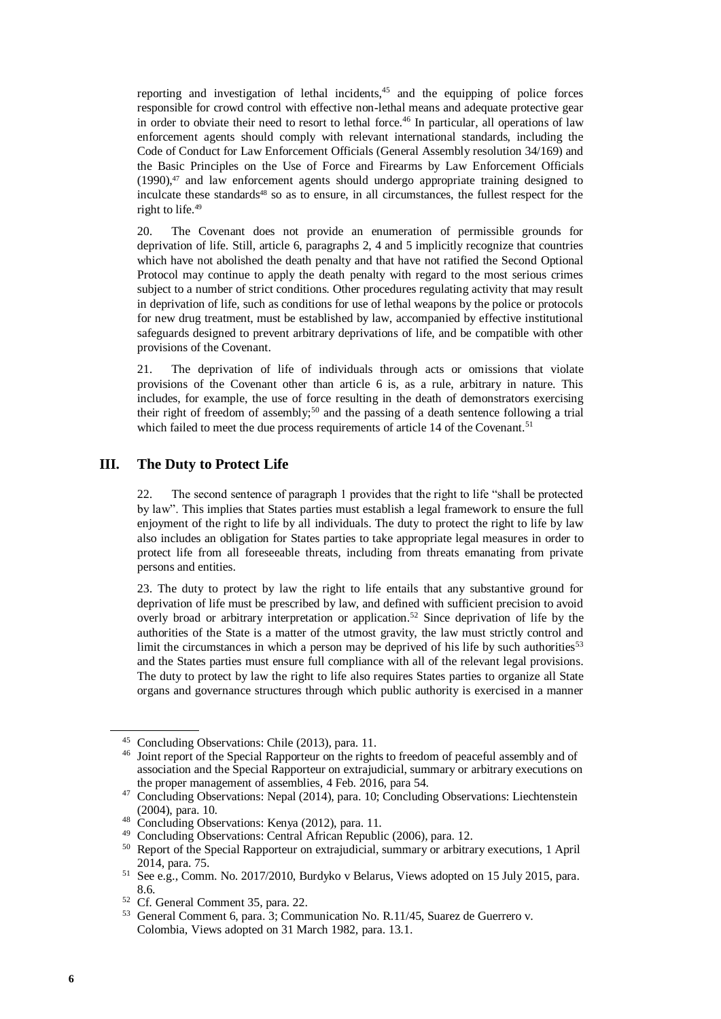reporting and investigation of lethal incidents, $45$  and the equipping of police forces responsible for crowd control with effective non-lethal means and adequate protective gear in order to obviate their need to resort to lethal force.<sup>46</sup> In particular, all operations of law enforcement agents should comply with relevant international standards, including the Code of Conduct for Law Enforcement Officials (General Assembly resolution 34/169) and the Basic Principles on the Use of Force and Firearms by Law Enforcement Officials  $(1990)$ ,<sup>47</sup> and law enforcement agents should undergo appropriate training designed to inculcate these standards<sup>48</sup> so as to ensure, in all circumstances, the fullest respect for the right to life.<sup>49</sup>

20. The Covenant does not provide an enumeration of permissible grounds for deprivation of life. Still, article 6, paragraphs 2, 4 and 5 implicitly recognize that countries which have not abolished the death penalty and that have not ratified the Second Optional Protocol may continue to apply the death penalty with regard to the most serious crimes subject to a number of strict conditions. Other procedures regulating activity that may result in deprivation of life, such as conditions for use of lethal weapons by the police or protocols for new drug treatment, must be established by law, accompanied by effective institutional safeguards designed to prevent arbitrary deprivations of life, and be compatible with other provisions of the Covenant.

21. The deprivation of life of individuals through acts or omissions that violate provisions of the Covenant other than article 6 is, as a rule, arbitrary in nature. This includes, for example, the use of force resulting in the death of demonstrators exercising their right of freedom of assembly;<sup>50</sup> and the passing of a death sentence following a trial which failed to meet the due process requirements of article 14 of the Covenant.<sup>51</sup>

#### **III. The Duty to Protect Life**

22. The second sentence of paragraph 1 provides that the right to life "shall be protected by law". This implies that States parties must establish a legal framework to ensure the full enjoyment of the right to life by all individuals. The duty to protect the right to life by law also includes an obligation for States parties to take appropriate legal measures in order to protect life from all foreseeable threats, including from threats emanating from private persons and entities.

23. The duty to protect by law the right to life entails that any substantive ground for deprivation of life must be prescribed by law, and defined with sufficient precision to avoid overly broad or arbitrary interpretation or application.<sup>52</sup> Since deprivation of life by the authorities of the State is a matter of the utmost gravity, the law must strictly control and limit the circumstances in which a person may be deprived of his life by such authorities<sup>53</sup> and the States parties must ensure full compliance with all of the relevant legal provisions. The duty to protect by law the right to life also requires States parties to organize all State organs and governance structures through which public authority is exercised in a manner

<sup>45</sup> Concluding Observations: Chile (2013), para. 11.

<sup>46</sup> Joint report of the Special Rapporteur on the rights to freedom of peaceful assembly and of association and the Special Rapporteur on extrajudicial, summary or arbitrary executions on the proper management of assemblies, 4 Feb. 2016, para 54.

<sup>47</sup> Concluding Observations: Nepal (2014), para. 10; Concluding Observations: Liechtenstein (2004), para. 10.

<sup>48</sup> Concluding Observations: Kenya (2012), para. 11.

<sup>&</sup>lt;sup>49</sup> Concluding Observations: Central African Republic (2006), para. 12.<br><sup>50</sup> Penort of the Special Rapporteur on extraudicial summary or arbitra

<sup>50</sup> Report of the Special Rapporteur on extrajudicial, summary or arbitrary executions, 1 April 2014, para. 75.

<sup>&</sup>lt;sup>51</sup> See e.g., Comm. No. 2017/2010, Burdyko v Belarus, Views adopted on 15 July 2015, para. 8.6.

<sup>52</sup> Cf. General Comment 35, para. 22.

<sup>53</sup> General Comment 6, para. 3; Communication No. R.11/45, Suarez de Guerrero v. Colombia, Views adopted on 31 March 1982, para. 13.1.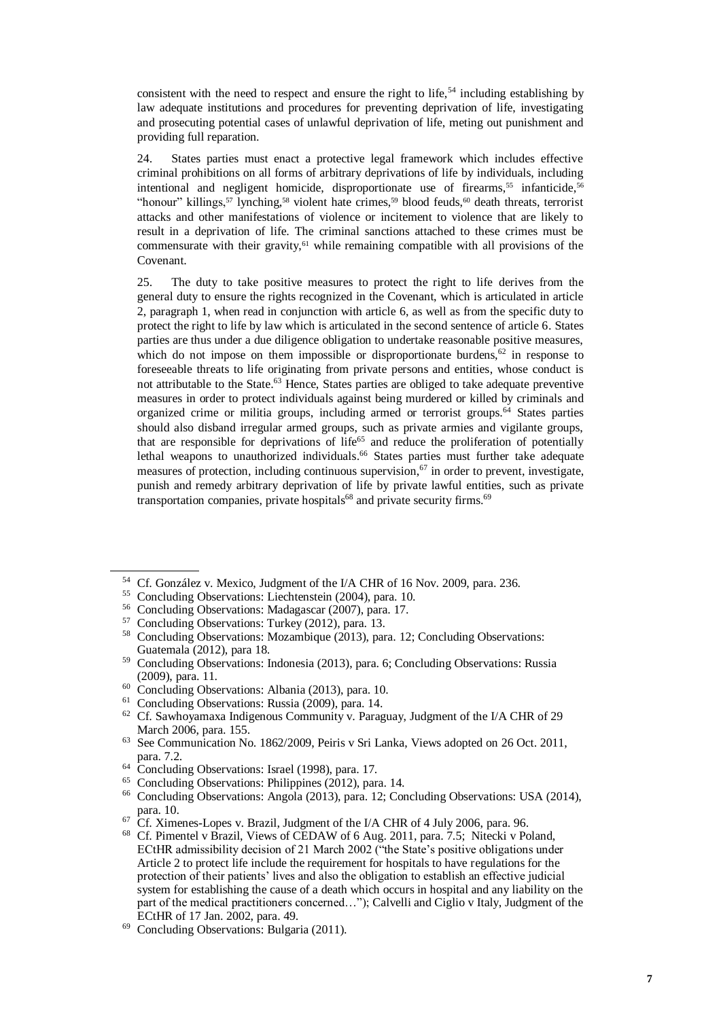consistent with the need to respect and ensure the right to life,  $54$  including establishing by law adequate institutions and procedures for preventing deprivation of life, investigating and prosecuting potential cases of unlawful deprivation of life, meting out punishment and providing full reparation.

24. States parties must enact a protective legal framework which includes effective criminal prohibitions on all forms of arbitrary deprivations of life by individuals, including intentional and negligent homicide, disproportionate use of firearms,<sup>55</sup> infanticide,<sup>56</sup> "honour" killings,<sup>57</sup> lynching,<sup>58</sup> violent hate crimes,<sup>59</sup> blood feuds,<sup>60</sup> death threats, terrorist attacks and other manifestations of violence or incitement to violence that are likely to result in a deprivation of life. The criminal sanctions attached to these crimes must be commensurate with their gravity, $61$  while remaining compatible with all provisions of the Covenant.

25. The duty to take positive measures to protect the right to life derives from the general duty to ensure the rights recognized in the Covenant, which is articulated in article 2, paragraph 1, when read in conjunction with article 6, as well as from the specific duty to protect the right to life by law which is articulated in the second sentence of article 6. States parties are thus under a due diligence obligation to undertake reasonable positive measures, which do not impose on them impossible or disproportionate burdens,  $62$  in response to foreseeable threats to life originating from private persons and entities, whose conduct is not attributable to the State.<sup>63</sup> Hence, States parties are obliged to take adequate preventive measures in order to protect individuals against being murdered or killed by criminals and organized crime or militia groups, including armed or terrorist groups.<sup>64</sup> States parties should also disband irregular armed groups, such as private armies and vigilante groups, that are responsible for deprivations of life<sup>65</sup> and reduce the proliferation of potentially lethal weapons to unauthorized individuals. <sup>66</sup> States parties must further take adequate measures of protection, including continuous supervision,  $67$  in order to prevent, investigate, punish and remedy arbitrary deprivation of life by private lawful entities, such as private transportation companies, private hospitals<sup>68</sup> and private security firms.<sup>69</sup>

<sup>54</sup> Cf. González v. Mexico, Judgment of the I/A CHR of 16 Nov. 2009, para. 236.

<sup>55</sup> Concluding Observations: Liechtenstein (2004), para. 10.

<sup>56</sup> Concluding Observations: Madagascar (2007), para. 17.

<sup>57</sup> Concluding Observations: Turkey (2012), para. 13.

<sup>58</sup> Concluding Observations: Mozambique (2013), para. 12; Concluding Observations: Guatemala (2012), para 18.

<sup>59</sup> Concluding Observations: Indonesia (2013), para. 6; Concluding Observations: Russia (2009), para. 11.

<sup>60</sup> Concluding Observations: Albania (2013), para. 10.

<sup>61</sup> Concluding Observations: Russia (2009), para. 14.

<sup>62</sup> Cf. Sawhoyamaxa Indigenous Community v. Paraguay, Judgment of the I/A CHR of 29 March 2006, para. 155.

<sup>63</sup> See Communication No. 1862/2009, Peiris v Sri Lanka, Views adopted on 26 Oct. 2011, para. 7.2.

<sup>&</sup>lt;sup>64</sup> Concluding Observations: Israel (1998), para. 17.

<sup>65</sup> Concluding Observations: Philippines (2012), para. 14.

<sup>66</sup> Concluding Observations: Angola (2013), para. 12; Concluding Observations: USA (2014), para. 10.

 $67$  Cf. Ximenes-Lopes v. Brazil, Judgment of the I/A CHR of 4 July 2006, para. 96.

<sup>68</sup> Cf. Pimentel v Brazil, Views of CEDAW of 6 Aug. 2011, para. 7.5; Nitecki v Poland, ECtHR admissibility decision of 21 March 2002 ("the State's positive obligations under Article 2 to protect life include the requirement for hospitals to have regulations for the protection of their patients' lives and also the obligation to establish an effective judicial system for establishing the cause of a death which occurs in hospital and any liability on the part of the medical practitioners concerned…"); Calvelli and Ciglio v Italy, Judgment of the ECtHR of 17 Jan. 2002, para. 49.

<sup>69</sup> Concluding Observations: Bulgaria (2011).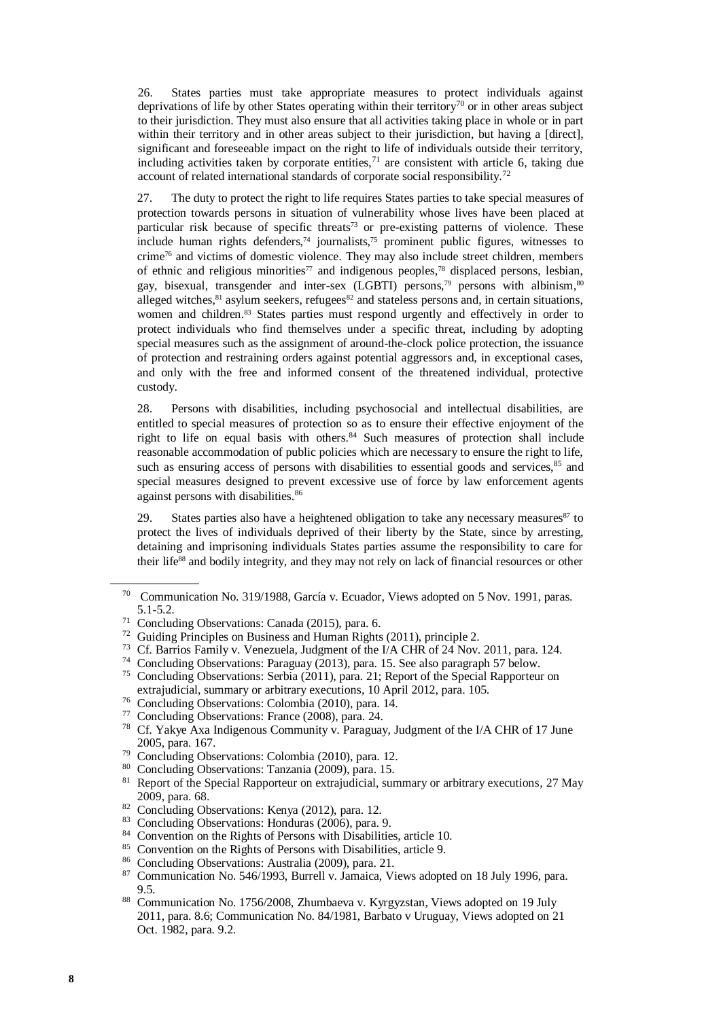26. States parties must take appropriate measures to protect individuals against deprivations of life by other States operating within their territory<sup>70</sup> or in other areas subject to their jurisdiction. They must also ensure that all activities taking place in whole or in part within their territory and in other areas subject to their jurisdiction, but having a [direct], significant and foreseeable impact on the right to life of individuals outside their territory, including activities taken by corporate entities, $<sup>71</sup>$  are consistent with article 6, taking due</sup> account of related international standards of corporate social responsibility.<sup>72</sup>

27. The duty to protect the right to life requires States parties to take special measures of protection towards persons in situation of vulnerability whose lives have been placed at particular risk because of specific threats<sup>73</sup> or pre-existing patterns of violence. These include human rights defenders, $74$  journalists, $75$  prominent public figures, witnesses to crime<sup>76</sup> and victims of domestic violence. They may also include street children, members of ethnic and religious minorities<sup>77</sup> and indigenous peoples,<sup>78</sup> displaced persons, lesbian, gay, bisexual, transgender and inter-sex (LGBTI) persons,<sup>79</sup> persons with albinism,<sup>80</sup> alleged witches,<sup>81</sup> asylum seekers, refugees<sup>82</sup> and stateless persons and, in certain situations, women and children.<sup>83</sup> States parties must respond urgently and effectively in order to protect individuals who find themselves under a specific threat, including by adopting special measures such as the assignment of around-the-clock police protection, the issuance of protection and restraining orders against potential aggressors and, in exceptional cases, and only with the free and informed consent of the threatened individual, protective custody.

28. Persons with disabilities, including psychosocial and intellectual disabilities, are entitled to special measures of protection so as to ensure their effective enjoyment of the right to life on equal basis with others.<sup>84</sup> Such measures of protection shall include reasonable accommodation of public policies which are necessary to ensure the right to life, such as ensuring access of persons with disabilities to essential goods and services, $85$  and special measures designed to prevent excessive use of force by law enforcement agents against persons with disabilities.<sup>86</sup>

29. States parties also have a heightened obligation to take any necessary measures $87$  to protect the lives of individuals deprived of their liberty by the State, since by arresting, detaining and imprisoning individuals States parties assume the responsibility to care for their life<sup>88</sup> and bodily integrity, and they may not rely on lack of financial resources or other

- <sup>73</sup> Cf. Barrios Family v. Venezuela, Judgment of the I/A CHR of 24 Nov. 2011, para. 124.
- <sup>74</sup> Concluding Observations: Paraguay (2013), para. 15. See also paragraph 57 below.
- <sup>75</sup> Concluding Observations: Serbia (2011), para. 21; Report of the Special Rapporteur on extrajudicial, summary or arbitrary executions, 10 April 2012, para. 105.
- <sup>76</sup> Concluding Observations: Colombia (2010), para. 14.
- <sup>77</sup> Concluding Observations: France (2008), para. 24.
- <sup>78</sup> Cf. Yakye Axa Indigenous Community v. Paraguay, Judgment of the I/A CHR of 17 June 2005, para. 167.
- <sup>79</sup> Concluding Observations: Colombia (2010), para. 12.
- <sup>80</sup> Concluding Observations: Tanzania (2009), para. 15.
- <sup>81</sup> Report of the Special Rapporteur on extrajudicial, summary or arbitrary executions, 27 May 2009, para. 68.
- <sup>82</sup> Concluding Observations: Kenya (2012), para. 12.
- <sup>83</sup> Concluding Observations: Honduras (2006), para. 9.
- <sup>84</sup> Convention on the Rights of Persons with Disabilities, article 10.
- <sup>85</sup> Convention on the Rights of Persons with Disabilities, article 9.
- <sup>86</sup> Concluding Observations: Australia (2009), para. 21.
- 87 Communication No. 546/1993, Burrell v. Jamaica, Views adopted on 18 July 1996, para. 9.5.
- <sup>88</sup> Communication No. 1756/2008, Zhumbaeva v. Kyrgyzstan, Views adopted on 19 July 2011, para. 8.6; Communication No. 84/1981, Barbato v Uruguay, Views adopted on 21 Oct. 1982, para. 9.2.

<sup>70</sup> Communication No. 319/1988, García v. Ecuador, Views adopted on 5 Nov. 1991, paras. 5.1-5.2.

<sup>71</sup> Concluding Observations: Canada (2015), para. 6.

<sup>72</sup> Guiding Principles on Business and Human Rights (2011), principle 2.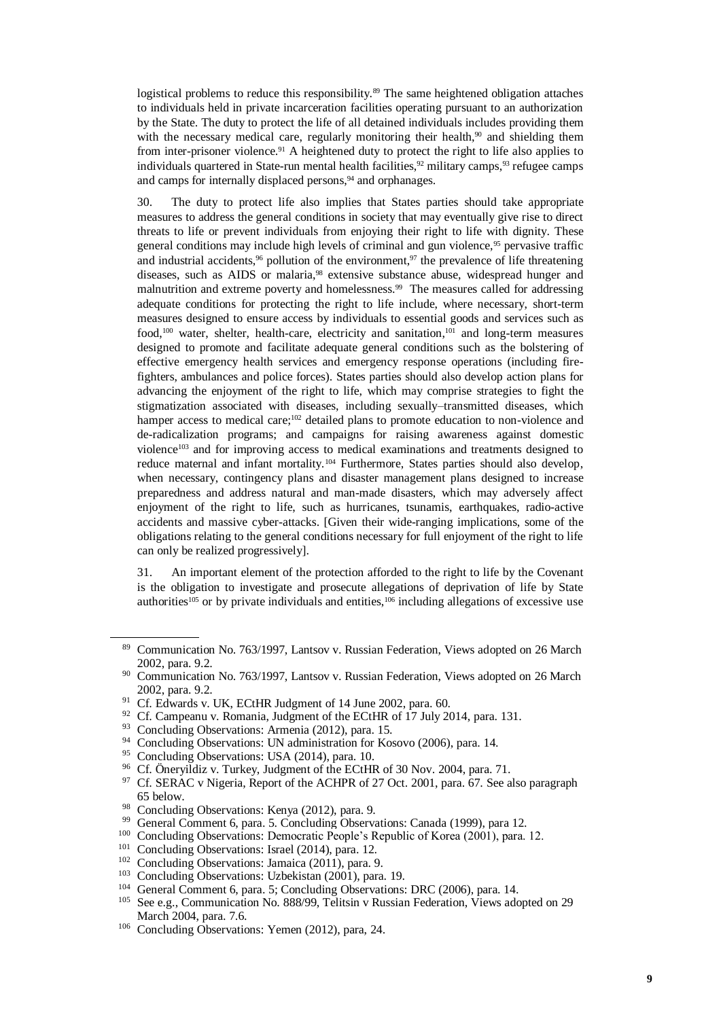logistical problems to reduce this responsibility.<sup>89</sup> The same heightened obligation attaches to individuals held in private incarceration facilities operating pursuant to an authorization by the State. The duty to protect the life of all detained individuals includes providing them with the necessary medical care, regularly monitoring their health, $90$  and shielding them from inter-prisoner violence.<sup>91</sup> A heightened duty to protect the right to life also applies to individuals quartered in State-run mental health facilities,  $92$  military camps,  $93$  refugee camps and camps for internally displaced persons, <sup>94</sup> and orphanages.

30. The duty to protect life also implies that States parties should take appropriate measures to address the general conditions in society that may eventually give rise to direct threats to life or prevent individuals from enjoying their right to life with dignity. These general conditions may include high levels of criminal and gun violence,<sup>95</sup> pervasive traffic and industrial accidents,  $96$  pollution of the environment,  $97$  the prevalence of life threatening diseases, such as AIDS or malaria.<sup>98</sup> extensive substance abuse, widespread hunger and malnutrition and extreme poverty and homelessness.<sup>99</sup> The measures called for addressing adequate conditions for protecting the right to life include, where necessary, short-term measures designed to ensure access by individuals to essential goods and services such as food,<sup>100</sup> water, shelter, health-care, electricity and sanitation,<sup>101</sup> and long-term measures designed to promote and facilitate adequate general conditions such as the bolstering of effective emergency health services and emergency response operations (including firefighters, ambulances and police forces). States parties should also develop action plans for advancing the enjoyment of the right to life, which may comprise strategies to fight the stigmatization associated with diseases, including sexually–transmitted diseases, which hamper access to medical care;<sup>102</sup> detailed plans to promote education to non-violence and de-radicalization programs; and campaigns for raising awareness against domestic violence<sup>103</sup> and for improving access to medical examinations and treatments designed to reduce maternal and infant mortality.<sup>104</sup> Furthermore, States parties should also develop, when necessary, contingency plans and disaster management plans designed to increase preparedness and address natural and man-made disasters, which may adversely affect enjoyment of the right to life, such as hurricanes, tsunamis, earthquakes, radio-active accidents and massive cyber-attacks. [Given their wide-ranging implications, some of the obligations relating to the general conditions necessary for full enjoyment of the right to life can only be realized progressively].

31. An important element of the protection afforded to the right to life by the Covenant is the obligation to investigate and prosecute allegations of deprivation of life by State authorities<sup>105</sup> or by private individuals and entities,<sup>106</sup> including allegations of excessive use

<sup>92</sup> Cf. Campeanu v. Romania, Judgment of the ECtHR of 17 July 2014, para. 131.

- <sup>94</sup> Concluding Observations: UN administration for Kosovo (2006), para. 14.
- <sup>95</sup> Concluding Observations: USA (2014), para. 10.<br><sup>96</sup> Cf. Önemildiz v. Turkey, Judement of the ECtHI
- <sup>96</sup> Cf. Öneryildiz v. Turkey, Judgment of the ECtHR of 30 Nov. 2004, para. 71.<br><sup>97</sup> Cf. SERAC v. Nigaria, Paport of the ACHPR of 27 Oct. 2001, para. 57, See a
- <sup>97</sup> Cf. SERAC v Nigeria, Report of the ACHPR of 27 Oct. 2001, para. 67. See also paragraph 65 below.
- <sup>98</sup> Concluding Observations: Kenya (2012), para. 9.
- <sup>99</sup> General Comment 6, para. 5. Concluding Observations: Canada (1999), para 12.
- <sup>100</sup> Concluding Observations: Democratic People's Republic of Korea (2001), para. 12.
- <sup>101</sup> Concluding Observations: Israel (2014), para. 12.
- <sup>102</sup> Concluding Observations: Jamaica (2011), para. 9.
- <sup>103</sup> Concluding Observations: Uzbekistan (2001), para. 19.
- <sup>104</sup> General Comment 6, para. 5; Concluding Observations: DRC (2006), para. 14.
- <sup>105</sup> See e.g., Communication No. 888/99, Telitsin v Russian Federation, Views adopted on 29 March 2004, para. 7.6.
- <sup>106</sup> Concluding Observations: Yemen (2012), para, 24.

<sup>89</sup> Communication No. 763/1997, Lantsov v. Russian Federation, Views adopted on 26 March 2002, para. 9.2.

<sup>&</sup>lt;sup>90</sup> Communication No. 763/1997, Lantsov v. Russian Federation, Views adopted on 26 March 2002, para. 9.2.

<sup>&</sup>lt;sup>91</sup> Cf. Edwards v. UK, ECtHR Judgment of 14 June 2002, para. 60.

<sup>&</sup>lt;sup>93</sup> Concluding Observations: Armenia (2012), para. 15.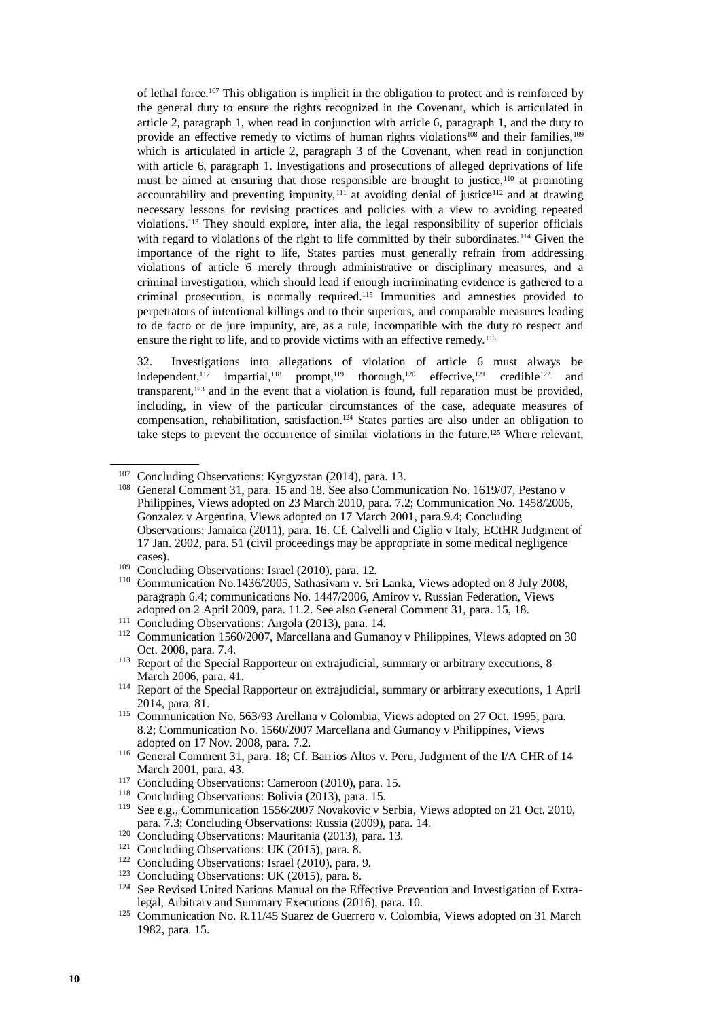of lethal force.<sup>107</sup> This obligation is implicit in the obligation to protect and is reinforced by the general duty to ensure the rights recognized in the Covenant, which is articulated in article 2, paragraph 1, when read in conjunction with article 6, paragraph 1, and the duty to provide an effective remedy to victims of human rights violations<sup>108</sup> and their families,<sup>109</sup> which is articulated in article 2, paragraph 3 of the Covenant, when read in conjunction with article 6, paragraph 1. Investigations and prosecutions of alleged deprivations of life must be aimed at ensuring that those responsible are brought to justice,<sup>110</sup> at promoting accountability and preventing impunity, $111$  at avoiding denial of justice<sup>112</sup> and at drawing necessary lessons for revising practices and policies with a view to avoiding repeated violations.<sup>113</sup> They should explore, inter alia, the legal responsibility of superior officials with regard to violations of the right to life committed by their subordinates.<sup>114</sup> Given the importance of the right to life, States parties must generally refrain from addressing violations of article 6 merely through administrative or disciplinary measures, and a criminal investigation, which should lead if enough incriminating evidence is gathered to a criminal prosecution, is normally required.<sup>115</sup> Immunities and amnesties provided to perpetrators of intentional killings and to their superiors, and comparable measures leading to de facto or de jure impunity, are, as a rule, incompatible with the duty to respect and ensure the right to life, and to provide victims with an effective remedy.<sup>116</sup>

32. Investigations into allegations of violation of article 6 must always be independent,<sup>117</sup> impartial,<sup>118</sup> prompt,<sup>119</sup> thorough,<sup>120</sup> effective,<sup>121</sup> credible<sup>122</sup> and transparent,<sup>123</sup> and in the event that a violation is found, full reparation must be provided, including, in view of the particular circumstances of the case, adequate measures of compensation, rehabilitation, satisfaction.<sup>124</sup> States parties are also under an obligation to take steps to prevent the occurrence of similar violations in the future. <sup>125</sup> Where relevant,

- <sup>120</sup> Concluding Observations: Mauritania (2013), para. 13.
- <sup>121</sup> Concluding Observations: UK (2015), para. 8.

<sup>&</sup>lt;sup>107</sup> Concluding Observations: Kyrgyzstan (2014), para. 13.

<sup>&</sup>lt;sup>108</sup> General Comment 31, para. 15 and 18. See also Communication No. 1619/07, Pestano v Philippines, Views adopted on 23 March 2010, para. 7.2; Communication No. 1458/2006, Gonzalez v Argentina, Views adopted on 17 March 2001, para.9.4; Concluding Observations: Jamaica (2011), para. 16. Cf. Calvelli and Ciglio v Italy, ECtHR Judgment of 17 Jan. 2002, para. 51 (civil proceedings may be appropriate in some medical negligence cases).

<sup>109</sup> Concluding Observations: Israel (2010), para. 12.

<sup>110</sup> Communication No.1436/2005, Sathasivam v. Sri Lanka, Views adopted on 8 July 2008, paragraph 6.4; communications No. 1447/2006, Amirov v. Russian Federation, Views adopted on 2 April 2009, para. 11.2. See also General Comment 31, para. 15, 18.

<sup>&</sup>lt;sup>111</sup> Concluding Observations: Angola (2013), para. 14.

<sup>112</sup> Communication 1560/2007, Marcellana and Gumanoy v Philippines, Views adopted on 30 Oct. 2008, para. 7.4.

<sup>&</sup>lt;sup>113</sup> Report of the Special Rapporteur on extrajudicial, summary or arbitrary executions, 8 March 2006, para. 41.

<sup>114</sup> Report of the Special Rapporteur on extrajudicial, summary or arbitrary executions, 1 April 2014, para. 81.

<sup>&</sup>lt;sup>115</sup> Communication No. 563/93 Arellana v Colombia, Views adopted on 27 Oct. 1995, para. 8.2; Communication No. 1560/2007 Marcellana and Gumanoy v Philippines, Views adopted on 17 Nov. 2008, para. 7.2.

<sup>&</sup>lt;sup>116</sup> General Comment 31, para. 18; Cf. Barrios Altos v. Peru, Judgment of the I/A CHR of 14 March 2001, para. 43.

<sup>&</sup>lt;sup>117</sup> Concluding Observations: Cameroon (2010), para. 15.

<sup>118</sup> Concluding Observations: Bolivia (2013), para. 15.

<sup>119</sup> See e.g., Communication 1556/2007 Novakovic v Serbia, Views adopted on 21 Oct. 2010, para. 7.3; Concluding Observations: Russia (2009), para. 14.

<sup>&</sup>lt;sup>122</sup> Concluding Observations: Israel (2010), para. 9.

<sup>&</sup>lt;sup>123</sup> Concluding Observations: UK (2015), para. 8.

<sup>&</sup>lt;sup>124</sup> See Revised United Nations Manual on the Effective Prevention and Investigation of Extralegal, Arbitrary and Summary Executions (2016), para. 10.

<sup>125</sup> Communication No. R.11/45 Suarez de Guerrero v. Colombia, Views adopted on 31 March 1982, para. 15.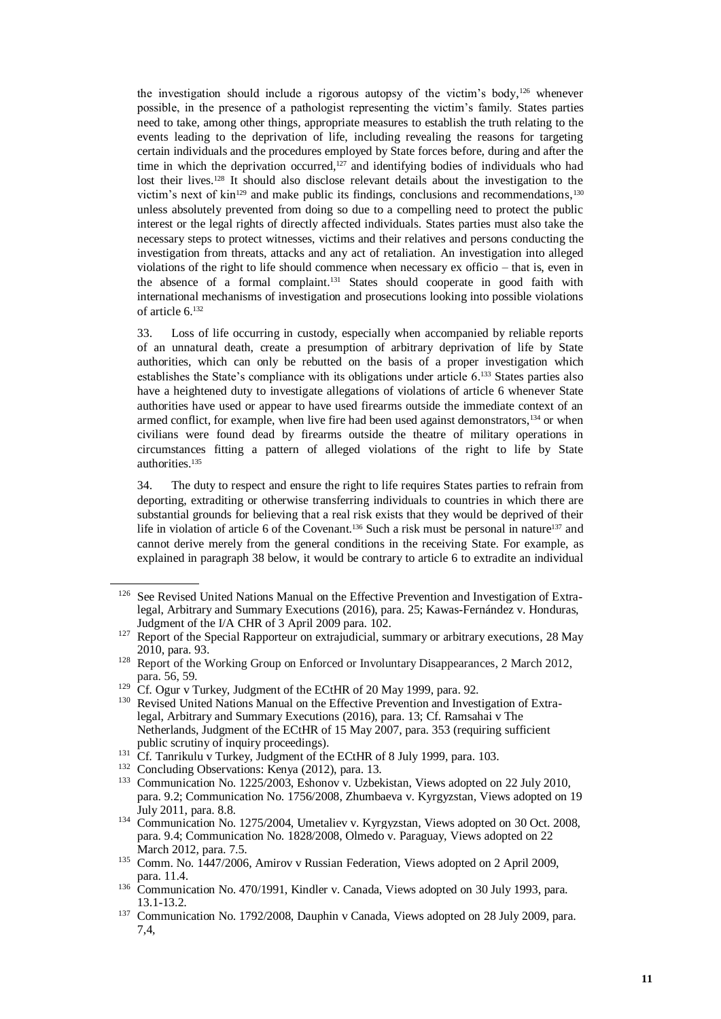the investigation should include a rigorous autopsy of the victim's body, <sup>126</sup> whenever possible, in the presence of a pathologist representing the victim's family. States parties need to take, among other things, appropriate measures to establish the truth relating to the events leading to the deprivation of life, including revealing the reasons for targeting certain individuals and the procedures employed by State forces before, during and after the time in which the deprivation occurred, $127$  and identifying bodies of individuals who had lost their lives.<sup>128</sup> It should also disclose relevant details about the investigation to the victim's next of  $\text{kin}^{129}$  and make public its findings, conclusions and recommendations,  $130$ unless absolutely prevented from doing so due to a compelling need to protect the public interest or the legal rights of directly affected individuals. States parties must also take the necessary steps to protect witnesses, victims and their relatives and persons conducting the investigation from threats, attacks and any act of retaliation. An investigation into alleged violations of the right to life should commence when necessary ex officio – that is, even in the absence of a formal complaint.<sup>131</sup> States should cooperate in good faith with international mechanisms of investigation and prosecutions looking into possible violations of article 6.<sup>132</sup>

33. Loss of life occurring in custody, especially when accompanied by reliable reports of an unnatural death, create a presumption of arbitrary deprivation of life by State authorities, which can only be rebutted on the basis of a proper investigation which establishes the State's compliance with its obligations under article 6. <sup>133</sup> States parties also have a heightened duty to investigate allegations of violations of article 6 whenever State authorities have used or appear to have used firearms outside the immediate context of an armed conflict, for example, when live fire had been used against demonstrators,<sup>134</sup> or when civilians were found dead by firearms outside the theatre of military operations in circumstances fitting a pattern of alleged violations of the right to life by State authorities.<sup>135</sup>

34. The duty to respect and ensure the right to life requires States parties to refrain from deporting, extraditing or otherwise transferring individuals to countries in which there are substantial grounds for believing that a real risk exists that they would be deprived of their life in violation of article 6 of the Covenant.<sup>136</sup> Such a risk must be personal in nature<sup>137</sup> and cannot derive merely from the general conditions in the receiving State. For example, as explained in paragraph 38 below, it would be contrary to article 6 to extradite an individual

<sup>&</sup>lt;sup>126</sup> See Revised United Nations Manual on the Effective Prevention and Investigation of Extralegal, Arbitrary and Summary Executions (2016), para. 25; Kawas-Fernández v. Honduras, Judgment of the I/A CHR of 3 April 2009 para. 102.

<sup>&</sup>lt;sup>127</sup> Report of the Special Rapporteur on extrajudicial, summary or arbitrary executions, 28 May 2010, para. 93.

<sup>&</sup>lt;sup>128</sup> Report of the Working Group on Enforced or Involuntary Disappearances, 2 March 2012, para. 56, 59.

<sup>&</sup>lt;sup>129</sup> Cf. Ogur v Turkey, Judgment of the ECtHR of 20 May 1999, para. 92.

<sup>&</sup>lt;sup>130</sup> Revised United Nations Manual on the Effective Prevention and Investigation of Extralegal, Arbitrary and Summary Executions (2016), para. 13; Cf. Ramsahai v The Netherlands, Judgment of the ECtHR of 15 May 2007, para. 353 (requiring sufficient public scrutiny of inquiry proceedings).

<sup>&</sup>lt;sup>131</sup> Cf. Tanrikulu v Turkey, Judgment of the ECtHR of 8 July 1999, para. 103.

<sup>132</sup> Concluding Observations: Kenya (2012), para. 13.

<sup>&</sup>lt;sup>133</sup> Communication No. 1225/2003, Eshonov v. Uzbekistan, Views adopted on 22 July 2010, para. 9.2; Communication No. 1756/2008, Zhumbaeva v. Kyrgyzstan, Views adopted on 19 July 2011, para. 8.8.

<sup>&</sup>lt;sup>134</sup> Communication No. 1275/2004, Umetaliev v. Kyrgyzstan, Views adopted on 30 Oct. 2008, para. 9.4; Communication No. 1828/2008, Olmedo v. Paraguay, Views adopted on 22 March 2012, para. 7.5.

<sup>&</sup>lt;sup>135</sup> Comm. No. 1447/2006, Amirov v Russian Federation, Views adopted on 2 April 2009, para. 11.4.

<sup>&</sup>lt;sup>136</sup> Communication No. 470/1991, Kindler v. Canada, Views adopted on 30 July 1993, para. 13.1-13.2.

<sup>&</sup>lt;sup>137</sup> Communication No. 1792/2008, Dauphin v Canada, Views adopted on 28 July 2009, para. 7,4,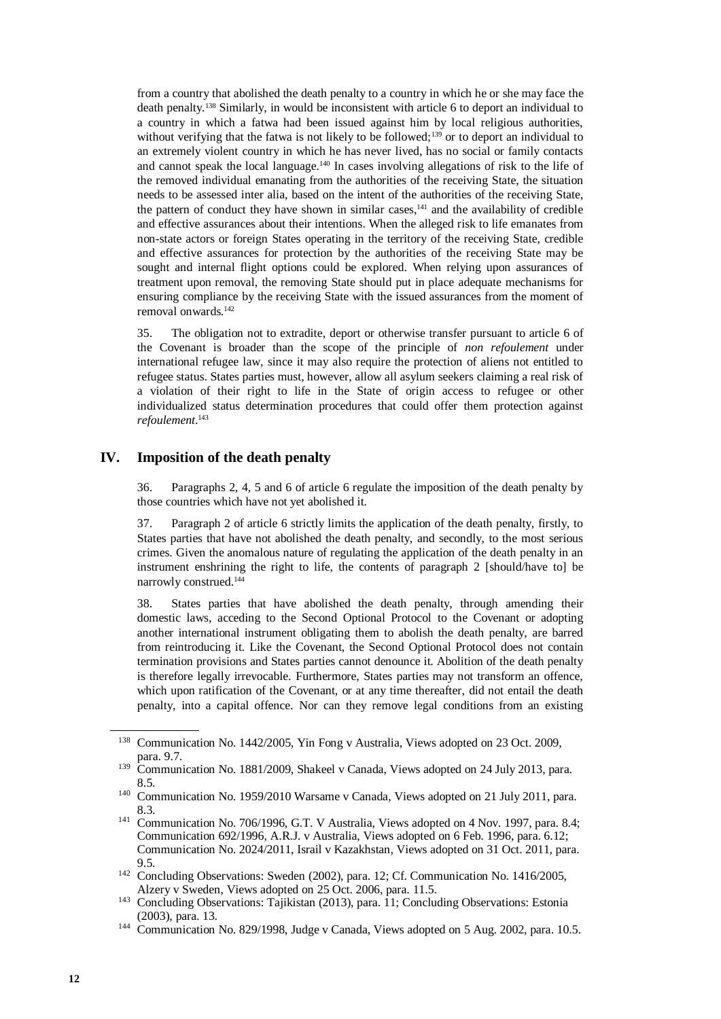from a country that abolished the death penalty to a country in which he or she may face the death penalty.<sup>138</sup> Similarly, in would be inconsistent with article 6 to deport an individual to a country in which a fatwa had been issued against him by local religious authorities, without verifying that the fatwa is not likely to be followed;<sup>139</sup> or to deport an individual to an extremely violent country in which he has never lived, has no social or family contacts and cannot speak the local language.<sup>140</sup> In cases involving allegations of risk to the life of the removed individual emanating from the authorities of the receiving State, the situation needs to be assessed inter alia, based on the intent of the authorities of the receiving State, the pattern of conduct they have shown in similar cases.<sup>141</sup> and the availability of credible and effective assurances about their intentions. When the alleged risk to life emanates from non-state actors or foreign States operating in the territory of the receiving State, credible and effective assurances for protection by the authorities of the receiving State may be sought and internal flight options could be explored. When relying upon assurances of treatment upon removal, the removing State should put in place adequate mechanisms for ensuring compliance by the receiving State with the issued assurances from the moment of removal onwards.<sup>142</sup>

35. The obligation not to extradite, deport or otherwise transfer pursuant to article 6 of the Covenant is broader than the scope of the principle of *non refoulement* under international refugee law, since it may also require the protection of aliens not entitled to refugee status. States parties must, however, allow all asylum seekers claiming a real risk of a violation of their right to life in the State of origin access to refugee or other individualized status determination procedures that could offer them protection against *refoulement*. 143

#### **IV. Imposition of the death penalty**

36. Paragraphs 2, 4, 5 and 6 of article 6 regulate the imposition of the death penalty by those countries which have not yet abolished it.

37. Paragraph 2 of article 6 strictly limits the application of the death penalty, firstly, to States parties that have not abolished the death penalty, and secondly, to the most serious crimes. Given the anomalous nature of regulating the application of the death penalty in an instrument enshrining the right to life, the contents of paragraph 2 [should/have to] be narrowly construed.<sup>144</sup>

38. States parties that have abolished the death penalty, through amending their domestic laws, acceding to the Second Optional Protocol to the Covenant or adopting another international instrument obligating them to abolish the death penalty, are barred from reintroducing it. Like the Covenant, the Second Optional Protocol does not contain termination provisions and States parties cannot denounce it. Abolition of the death penalty is therefore legally irrevocable. Furthermore, States parties may not transform an offence, which upon ratification of the Covenant, or at any time thereafter, did not entail the death penalty, into a capital offence. Nor can they remove legal conditions from an existing

<sup>&</sup>lt;sup>138</sup> Communication No. 1442/2005, Yin Fong v Australia, Views adopted on 23 Oct. 2009, para. 9.7.

<sup>&</sup>lt;sup>139</sup> Communication No. 1881/2009, Shakeel v Canada, Views adopted on 24 July 2013, para. 8.5.

<sup>140</sup> Communication No. 1959/2010 Warsame v Canada, Views adopted on 21 July 2011, para. 8.3.

<sup>&</sup>lt;sup>141</sup> Communication No. 706/1996, G.T. V Australia, Views adopted on 4 Nov. 1997, para. 8.4; Communication 692/1996, A.R.J. v Australia, Views adopted on 6 Feb. 1996, para. 6.12; Communication No. 2024/2011, Israil v Kazakhstan, Views adopted on 31 Oct. 2011, para. 9.5.

<sup>&</sup>lt;sup>142</sup> Concluding Observations: Sweden (2002), para. 12; Cf. Communication No. 1416/2005, Alzery v Sweden, Views adopted on 25 Oct. 2006, para. 11.5.

<sup>&</sup>lt;sup>143</sup> Concluding Observations: Tajikistan (2013), para. 11; Concluding Observations: Estonia (2003), para. 13.

<sup>&</sup>lt;sup>144</sup> Communication No. 829/1998, Judge v Canada, Views adopted on 5 Aug. 2002, para. 10.5.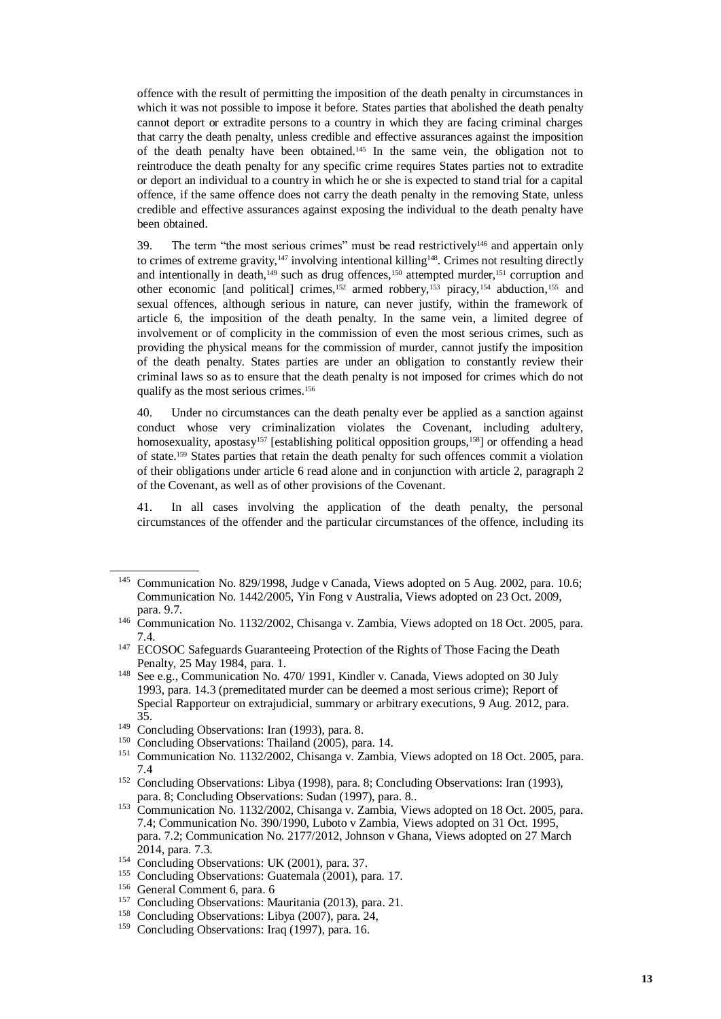offence with the result of permitting the imposition of the death penalty in circumstances in which it was not possible to impose it before. States parties that abolished the death penalty cannot deport or extradite persons to a country in which they are facing criminal charges that carry the death penalty, unless credible and effective assurances against the imposition of the death penalty have been obtained.<sup>145</sup> In the same vein, the obligation not to reintroduce the death penalty for any specific crime requires States parties not to extradite or deport an individual to a country in which he or she is expected to stand trial for a capital offence, if the same offence does not carry the death penalty in the removing State, unless credible and effective assurances against exposing the individual to the death penalty have been obtained.

39. The term "the most serious crimes" must be read restrictively $146$  and appertain only to crimes of extreme gravity, $147$  involving intentional killing $148$ . Crimes not resulting directly and intentionally in death,<sup>149</sup> such as drug offences,<sup>150</sup> attempted murder,<sup>151</sup> corruption and other economic [and political] crimes,<sup>152</sup> armed robbery,<sup>153</sup> piracy,<sup>154</sup> abduction,<sup>155</sup> and sexual offences, although serious in nature, can never justify, within the framework of article 6, the imposition of the death penalty. In the same vein, a limited degree of involvement or of complicity in the commission of even the most serious crimes, such as providing the physical means for the commission of murder, cannot justify the imposition of the death penalty. States parties are under an obligation to constantly review their criminal laws so as to ensure that the death penalty is not imposed for crimes which do not qualify as the most serious crimes.<sup>156</sup>

40. Under no circumstances can the death penalty ever be applied as a sanction against conduct whose very criminalization violates the Covenant, including adultery, homosexuality, apostasy<sup>157</sup> [establishing political opposition groups,<sup>158</sup>] or offending a head of state.<sup>159</sup> States parties that retain the death penalty for such offences commit a violation of their obligations under article 6 read alone and in conjunction with article 2, paragraph 2 of the Covenant, as well as of other provisions of the Covenant.

41. In all cases involving the application of the death penalty, the personal circumstances of the offender and the particular circumstances of the offence, including its

<sup>&</sup>lt;sup>145</sup> Communication No. 829/1998, Judge v Canada, Views adopted on 5 Aug. 2002, para. 10.6; Communication No. 1442/2005, Yin Fong v Australia, Views adopted on 23 Oct. 2009, para. 9.7.

<sup>&</sup>lt;sup>146</sup> Communication No. 1132/2002, Chisanga v. Zambia, Views adopted on 18 Oct. 2005, para. 7.4.

<sup>&</sup>lt;sup>147</sup> ECOSOC Safeguards Guaranteeing Protection of the Rights of Those Facing the Death Penalty, 25 May 1984, para. 1.

<sup>&</sup>lt;sup>148</sup> See e.g., Communication No. 470/ 1991, Kindler v. Canada, Views adopted on 30 July 1993, para. 14.3 (premeditated murder can be deemed a most serious crime); Report of Special Rapporteur on extrajudicial, summary or arbitrary executions, 9 Aug. 2012, para. 35.

<sup>&</sup>lt;sup>149</sup> Concluding Observations: Iran (1993), para. 8.

<sup>&</sup>lt;sup>150</sup> Concluding Observations: Thailand (2005), para. 14.

<sup>&</sup>lt;sup>151</sup> Communication No. 1132/2002, Chisanga v. Zambia, Views adopted on 18 Oct. 2005, para. 7.4

<sup>152</sup> Concluding Observations: Libya (1998), para. 8; Concluding Observations: Iran (1993), para. 8; Concluding Observations: Sudan (1997), para. 8..

<sup>&</sup>lt;sup>153</sup> Communication No. 1132/2002, Chisanga v. Zambia, Views adopted on 18 Oct. 2005, para. 7.4; Communication No. 390/1990, Luboto v Zambia, Views adopted on 31 Oct. 1995, para. 7.2; Communication No. 2177/2012, Johnson v Ghana, Views adopted on 27 March 2014, para. 7.3.

<sup>&</sup>lt;sup>154</sup> Concluding Observations: UK (2001), para. 37.

<sup>&</sup>lt;sup>155</sup> Concluding Observations: Guatemala (2001), para. 17.

<sup>156</sup> General Comment 6, para. 6

<sup>&</sup>lt;sup>157</sup> Concluding Observations: Mauritania (2013), para. 21.

<sup>158</sup> Concluding Observations: Libya (2007), para. 24,

<sup>&</sup>lt;sup>159</sup> Concluding Observations: Iraq (1997), para. 16.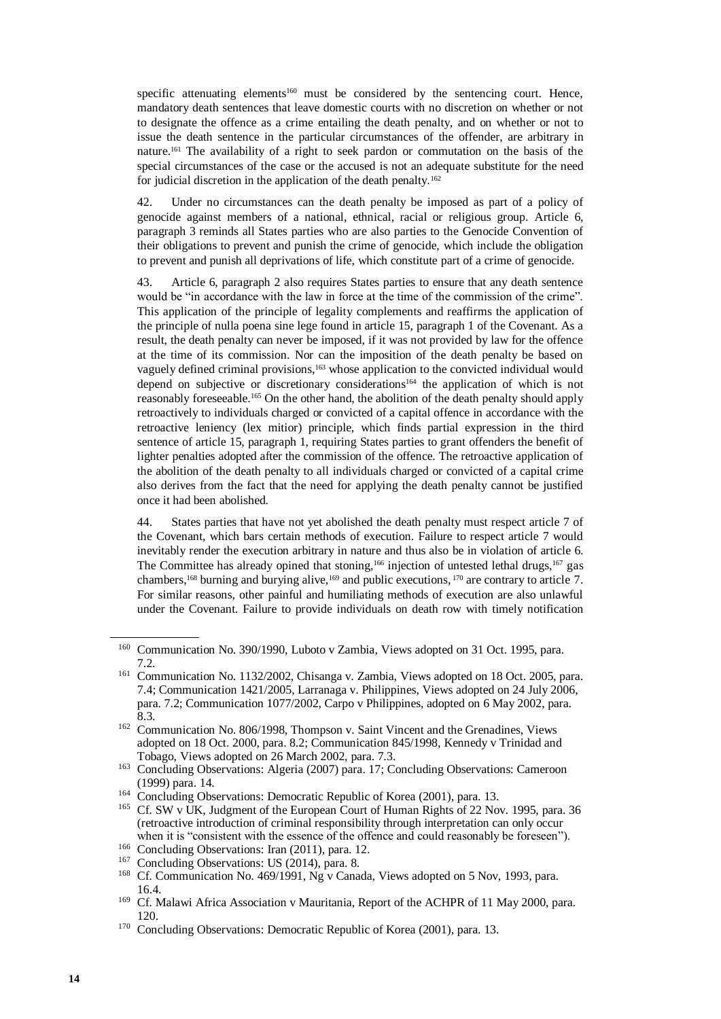specific attenuating elements<sup>160</sup> must be considered by the sentencing court. Hence, mandatory death sentences that leave domestic courts with no discretion on whether or not to designate the offence as a crime entailing the death penalty, and on whether or not to issue the death sentence in the particular circumstances of the offender, are arbitrary in nature.<sup>161</sup> The availability of a right to seek pardon or commutation on the basis of the special circumstances of the case or the accused is not an adequate substitute for the need for judicial discretion in the application of the death penalty.<sup>162</sup>

42. Under no circumstances can the death penalty be imposed as part of a policy of genocide against members of a national, ethnical, racial or religious group. Article 6, paragraph 3 reminds all States parties who are also parties to the Genocide Convention of their obligations to prevent and punish the crime of genocide, which include the obligation to prevent and punish all deprivations of life, which constitute part of a crime of genocide.

43. Article 6, paragraph 2 also requires States parties to ensure that any death sentence would be "in accordance with the law in force at the time of the commission of the crime". This application of the principle of legality complements and reaffirms the application of the principle of nulla poena sine lege found in article 15, paragraph 1 of the Covenant. As a result, the death penalty can never be imposed, if it was not provided by law for the offence at the time of its commission. Nor can the imposition of the death penalty be based on vaguely defined criminal provisions,<sup>163</sup> whose application to the convicted individual would depend on subjective or discretionary considerations<sup>164</sup> the application of which is not reasonably foreseeable.<sup>165</sup> On the other hand, the abolition of the death penalty should apply retroactively to individuals charged or convicted of a capital offence in accordance with the retroactive leniency (lex mitior) principle, which finds partial expression in the third sentence of article 15, paragraph 1, requiring States parties to grant offenders the benefit of lighter penalties adopted after the commission of the offence. The retroactive application of the abolition of the death penalty to all individuals charged or convicted of a capital crime also derives from the fact that the need for applying the death penalty cannot be justified once it had been abolished.

44. States parties that have not yet abolished the death penalty must respect article 7 of the Covenant, which bars certain methods of execution. Failure to respect article 7 would inevitably render the execution arbitrary in nature and thus also be in violation of article 6. The Committee has already opined that stoning,<sup>166</sup> injection of untested lethal drugs,<sup>167</sup> gas chambers,<sup>168</sup> burning and burying alive,<sup>169</sup> and public executions, <sup>170</sup> are contrary to article 7. For similar reasons, other painful and humiliating methods of execution are also unlawful under the Covenant. Failure to provide individuals on death row with timely notification

<sup>&</sup>lt;sup>160</sup> Communication No. 390/1990, Luboto v Zambia, Views adopted on 31 Oct. 1995, para. 7.2.

<sup>161</sup> Communication No. 1132/2002, Chisanga v. Zambia, Views adopted on 18 Oct. 2005, para. 7.4; Communication 1421/2005, Larranaga v. Philippines, Views adopted on 24 July 2006, para. 7.2; Communication 1077/2002, Carpo v Philippines, adopted on 6 May 2002, para. 8.3.

<sup>162</sup> Communication No. 806/1998, Thompson v. Saint Vincent and the Grenadines, Views adopted on 18 Oct. 2000, para. 8.2; Communication 845/1998, Kennedy v Trinidad and Tobago, Views adopted on 26 March 2002, para. 7.3.

<sup>&</sup>lt;sup>163</sup> Concluding Observations: Algeria (2007) para. 17; Concluding Observations: Cameroon (1999) para. 14.

<sup>&</sup>lt;sup>164</sup> Concluding Observations: Democratic Republic of Korea (2001), para. 13.

<sup>&</sup>lt;sup>165</sup> Cf. SW v UK, Judgment of the European Court of Human Rights of 22 Nov. 1995, para. 36 (retroactive introduction of criminal responsibility through interpretation can only occur when it is "consistent with the essence of the offence and could reasonably be foreseen").

<sup>166</sup> Concluding Observations: Iran (2011), para. 12.

<sup>&</sup>lt;sup>167</sup> Concluding Observations: US (2014), para. 8.

<sup>&</sup>lt;sup>168</sup> Cf. Communication No. 469/1991, Ng v Canada, Views adopted on 5 Nov, 1993, para. 16.4.

<sup>&</sup>lt;sup>169</sup> Cf. Malawi Africa Association v Mauritania, Report of the ACHPR of 11 May 2000, para. 120.

<sup>&</sup>lt;sup>170</sup> Concluding Observations: Democratic Republic of Korea (2001), para. 13.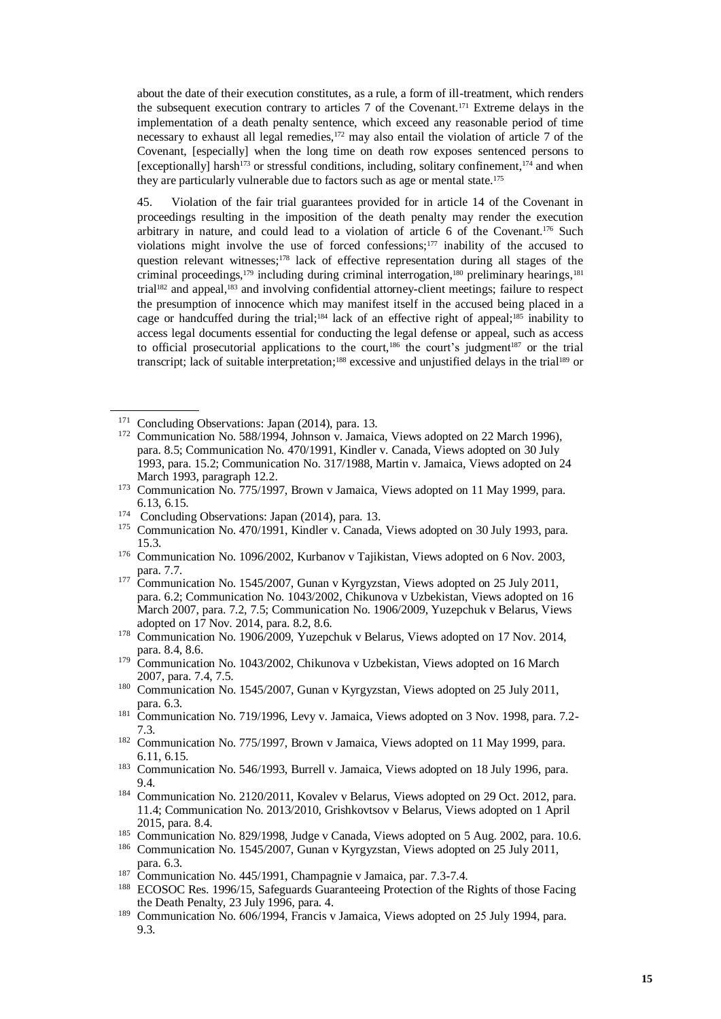about the date of their execution constitutes, as a rule, a form of ill-treatment, which renders the subsequent execution contrary to articles 7 of the Covenant.<sup>171</sup> Extreme delays in the implementation of a death penalty sentence, which exceed any reasonable period of time necessary to exhaust all legal remedies,<sup>172</sup> may also entail the violation of article 7 of the Covenant, [especially] when the long time on death row exposes sentenced persons to [exceptionally] harsh<sup>173</sup> or stressful conditions, including, solitary confinement,<sup>174</sup> and when they are particularly vulnerable due to factors such as age or mental state.<sup>175</sup>

45. Violation of the fair trial guarantees provided for in article 14 of the Covenant in proceedings resulting in the imposition of the death penalty may render the execution arbitrary in nature, and could lead to a violation of article 6 of the Covenant.<sup>176</sup> Such violations might involve the use of forced confessions;<sup>177</sup> inability of the accused to question relevant witnesses; <sup>178</sup> lack of effective representation during all stages of the criminal proceedings,<sup>179</sup> including during criminal interrogation,<sup>180</sup> preliminary hearings,<sup>181</sup> trial<sup>182</sup> and appeal,<sup>183</sup> and involving confidential attorney-client meetings; failure to respect the presumption of innocence which may manifest itself in the accused being placed in a cage or handcuffed during the trial;<sup>184</sup> lack of an effective right of appeal;<sup>185</sup> inability to access legal documents essential for conducting the legal defense or appeal, such as access to official prosecutorial applications to the court,<sup>186</sup> the court's judgment<sup>187</sup> or the trial transcript; lack of suitable interpretation;<sup>188</sup> excessive and unjustified delays in the trial<sup>189</sup> or

- <sup>185</sup> Communication No. 829/1998, Judge v Canada, Views adopted on 5 Aug. 2002, para. 10.6.
- <sup>186</sup> Communication No. 1545/2007, Gunan v Kyrgyzstan, Views adopted on 25 July 2011, para. 6.3.
- <sup>187</sup> Communication No. 445/1991, Champagnie v Jamaica, par. 7.3-7.4.

<sup>189</sup> Communication No. 606/1994, Francis v Jamaica, Views adopted on 25 July 1994, para. 9.3.

<sup>&</sup>lt;sup>171</sup> Concluding Observations: Japan (2014), para. 13.

<sup>&</sup>lt;sup>172</sup> Communication No. 588/1994, Johnson v. Jamaica, Views adopted on 22 March 1996), para. 8.5; Communication No. 470/1991, Kindler v. Canada, Views adopted on 30 July 1993, para. 15.2; Communication No. 317/1988, Martin v. Jamaica, Views adopted on 24 March 1993, paragraph 12.2.

<sup>&</sup>lt;sup>173</sup> Communication No. 775/1997, Brown v Jamaica, Views adopted on 11 May 1999, para. 6.13, 6.15.

<sup>&</sup>lt;sup>174</sup> Concluding Observations: Japan (2014), para. 13.

<sup>&</sup>lt;sup>175</sup> Communication No. 470/1991, Kindler v. Canada, Views adopted on 30 July 1993, para. 15.3.

<sup>176</sup> Communication No. 1096/2002, Kurbanov v Tajikistan, Views adopted on 6 Nov. 2003, para. 7.7.

<sup>&</sup>lt;sup>177</sup> Communication No. 1545/2007, Gunan v Kyrgyzstan, Views adopted on 25 July 2011, para. 6.2; Communication No. 1043/2002, Chikunova v Uzbekistan, Views adopted on 16 March 2007, para. 7.2, 7.5; Communication No. 1906/2009, Yuzepchuk v Belarus, Views adopted on 17 Nov. 2014, para. 8.2, 8.6.

<sup>&</sup>lt;sup>178</sup> Communication No. 1906/2009, Yuzepchuk v Belarus, Views adopted on 17 Nov. 2014, para. 8.4, 8.6.

<sup>&</sup>lt;sup>179</sup> Communication No. 1043/2002, Chikunova v Uzbekistan, Views adopted on 16 March 2007, para. 7.4, 7.5.

<sup>&</sup>lt;sup>180</sup> Communication No. 1545/2007, Gunan v Kyrgyzstan, Views adopted on 25 July 2011, para. 6.3.

<sup>&</sup>lt;sup>181</sup> Communication No. 719/1996, Levy v. Jamaica, Views adopted on 3 Nov. 1998, para. 7.2-7.3.

<sup>&</sup>lt;sup>182</sup> Communication No. 775/1997, Brown v Jamaica, Views adopted on 11 May 1999, para. 6.11, 6.15.

<sup>&</sup>lt;sup>183</sup> Communication No. 546/1993, Burrell v. Jamaica, Views adopted on 18 July 1996, para. 9.4.

<sup>184</sup> Communication No. 2120/2011, Kovalev v Belarus, Views adopted on 29 Oct. 2012, para. 11.4; Communication No. 2013/2010, Grishkovtsov v Belarus, Views adopted on 1 April 2015, para. 8.4.

<sup>188</sup> ECOSOC Res. 1996/15, Safeguards Guaranteeing Protection of the Rights of those Facing the Death Penalty, 23 July 1996, para. 4.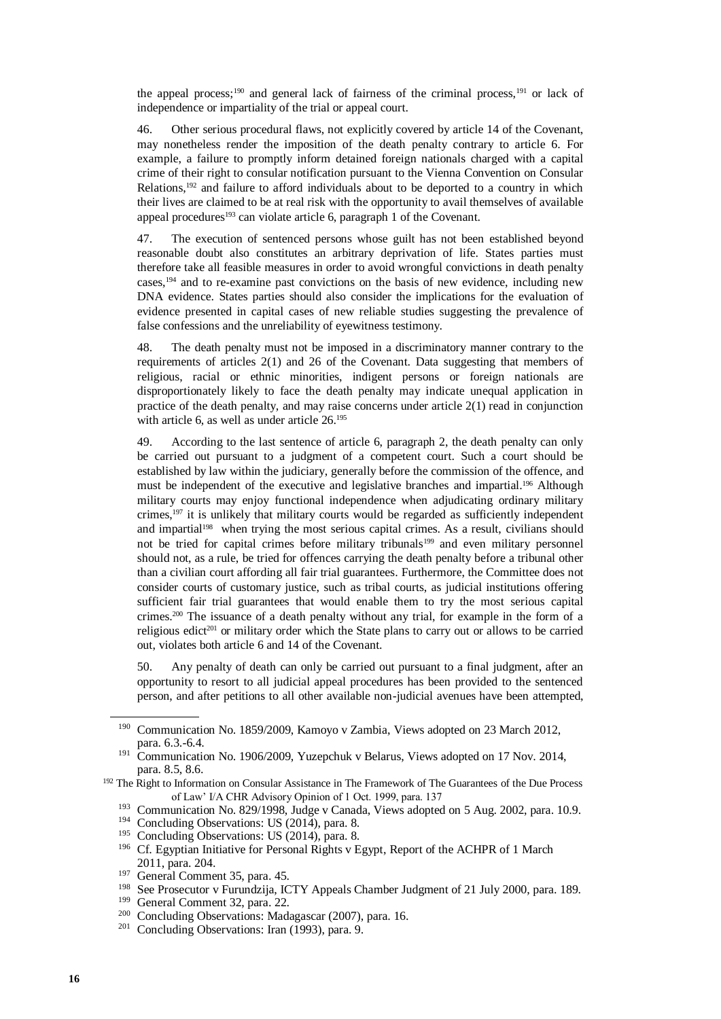the appeal process;<sup>190</sup> and general lack of fairness of the criminal process,<sup>191</sup> or lack of independence or impartiality of the trial or appeal court.

46. Other serious procedural flaws, not explicitly covered by article 14 of the Covenant, may nonetheless render the imposition of the death penalty contrary to article 6. For example, a failure to promptly inform detained foreign nationals charged with a capital crime of their right to consular notification pursuant to the Vienna Convention on Consular Relations,<sup>192</sup> and failure to afford individuals about to be deported to a country in which their lives are claimed to be at real risk with the opportunity to avail themselves of available appeal procedures<sup>193</sup> can violate article 6, paragraph 1 of the Covenant.

47. The execution of sentenced persons whose guilt has not been established beyond reasonable doubt also constitutes an arbitrary deprivation of life. States parties must therefore take all feasible measures in order to avoid wrongful convictions in death penalty cases,<sup>194</sup> and to re-examine past convictions on the basis of new evidence, including new DNA evidence. States parties should also consider the implications for the evaluation of evidence presented in capital cases of new reliable studies suggesting the prevalence of false confessions and the unreliability of eyewitness testimony.

48. The death penalty must not be imposed in a discriminatory manner contrary to the requirements of articles 2(1) and 26 of the Covenant. Data suggesting that members of religious, racial or ethnic minorities, indigent persons or foreign nationals are disproportionately likely to face the death penalty may indicate unequal application in practice of the death penalty, and may raise concerns under article  $2(1)$  read in conjunction with article 6, as well as under article  $26.195$ 

49. According to the last sentence of article 6, paragraph 2, the death penalty can only be carried out pursuant to a judgment of a competent court. Such a court should be established by law within the judiciary, generally before the commission of the offence, and must be independent of the executive and legislative branches and impartial. <sup>196</sup> Although military courts may enjoy functional independence when adjudicating ordinary military crimes,<sup>197</sup> it is unlikely that military courts would be regarded as sufficiently independent and impartial<sup>198</sup> when trying the most serious capital crimes. As a result, civilians should not be tried for capital crimes before military tribunals<sup>199</sup> and even military personnel should not, as a rule, be tried for offences carrying the death penalty before a tribunal other than a civilian court affording all fair trial guarantees. Furthermore, the Committee does not consider courts of customary justice, such as tribal courts, as judicial institutions offering sufficient fair trial guarantees that would enable them to try the most serious capital crimes.<sup>200</sup> The issuance of a death penalty without any trial, for example in the form of a religious edict<sup>201</sup> or military order which the State plans to carry out or allows to be carried out, violates both article 6 and 14 of the Covenant.

50. Any penalty of death can only be carried out pursuant to a final judgment, after an opportunity to resort to all judicial appeal procedures has been provided to the sentenced person, and after petitions to all other available non-judicial avenues have been attempted,

<sup>190</sup> Communication No. 1859/2009, Kamoyo v Zambia, Views adopted on 23 March 2012, para. 6.3.-6.4.

<sup>&</sup>lt;sup>191</sup> Communication No. 1906/2009, Yuzepchuk v Belarus, Views adopted on 17 Nov. 2014, para. 8.5, 8.6.

<sup>&</sup>lt;sup>192</sup> The Right to Information on Consular Assistance in The Framework of The Guarantees of the Due Process of Law' I/A CHR Advisory Opinion of 1 Oct. 1999, para. 137

<sup>&</sup>lt;sup>193</sup> Communication No. 829/1998, Judge v Canada, Views adopted on 5 Aug. 2002, para. 10.9.

<sup>&</sup>lt;sup>194</sup> Concluding Observations: US (2014), para. 8.

<sup>&</sup>lt;sup>195</sup> Concluding Observations: US (2014), para. 8.

<sup>&</sup>lt;sup>196</sup> Cf. Egyptian Initiative for Personal Rights v Egypt, Report of the ACHPR of 1 March 2011, para. 204.

<sup>&</sup>lt;sup>197</sup> General Comment 35, para. 45.

<sup>198</sup> See Prosecutor v Furundzija, ICTY Appeals Chamber Judgment of 21 July 2000, para. 189.

<sup>199</sup> General Comment 32, para. 22.

<sup>200</sup> Concluding Observations: Madagascar (2007), para. 16.

<sup>&</sup>lt;sup>201</sup> Concluding Observations: Iran (1993), para. 9.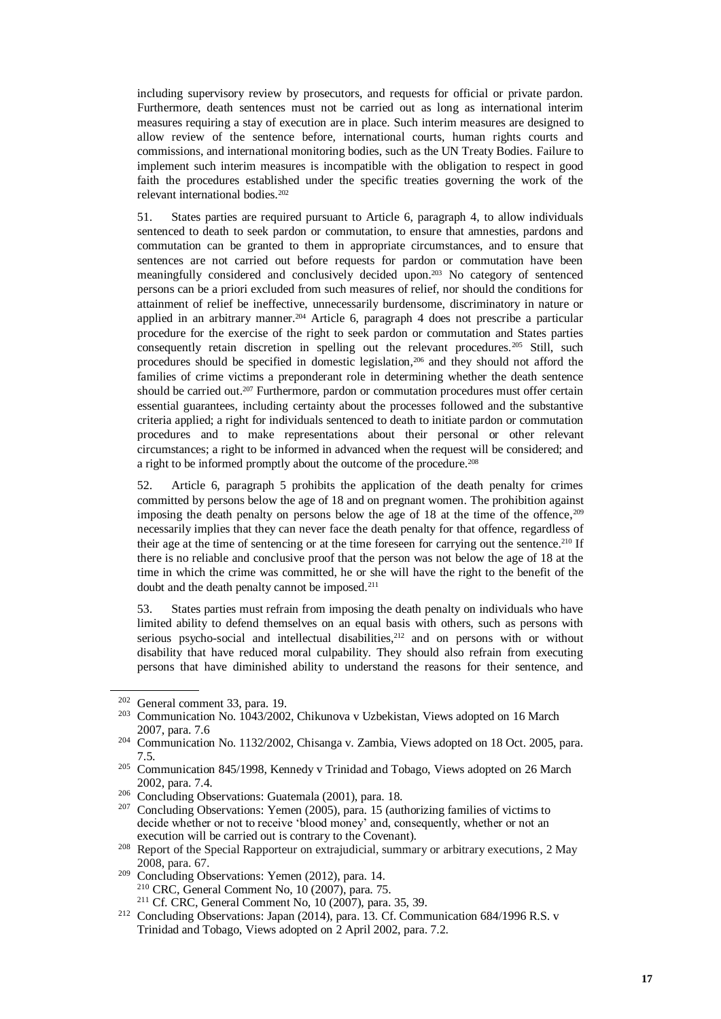including supervisory review by prosecutors, and requests for official or private pardon. Furthermore, death sentences must not be carried out as long as international interim measures requiring a stay of execution are in place. Such interim measures are designed to allow review of the sentence before, international courts, human rights courts and commissions, and international monitoring bodies, such as the UN Treaty Bodies. Failure to implement such interim measures is incompatible with the obligation to respect in good faith the procedures established under the specific treaties governing the work of the relevant international bodies.<sup>202</sup>

51. States parties are required pursuant to Article 6, paragraph 4, to allow individuals sentenced to death to seek pardon or commutation, to ensure that amnesties, pardons and commutation can be granted to them in appropriate circumstances, and to ensure that sentences are not carried out before requests for pardon or commutation have been meaningfully considered and conclusively decided upon.<sup>203</sup> No category of sentenced persons can be a priori excluded from such measures of relief, nor should the conditions for attainment of relief be ineffective, unnecessarily burdensome, discriminatory in nature or applied in an arbitrary manner.<sup>204</sup> Article 6, paragraph 4 does not prescribe a particular procedure for the exercise of the right to seek pardon or commutation and States parties consequently retain discretion in spelling out the relevant procedures.<sup>205</sup> Still, such procedures should be specified in domestic legislation,<sup>206</sup> and they should not afford the families of crime victims a preponderant role in determining whether the death sentence should be carried out.<sup>207</sup> Furthermore, pardon or commutation procedures must offer certain essential guarantees, including certainty about the processes followed and the substantive criteria applied; a right for individuals sentenced to death to initiate pardon or commutation procedures and to make representations about their personal or other relevant circumstances; a right to be informed in advanced when the request will be considered; and a right to be informed promptly about the outcome of the procedure.<sup>208</sup>

52. Article 6, paragraph 5 prohibits the application of the death penalty for crimes committed by persons below the age of 18 and on pregnant women. The prohibition against imposing the death penalty on persons below the age of 18 at the time of the offence, <sup>209</sup> necessarily implies that they can never face the death penalty for that offence, regardless of their age at the time of sentencing or at the time foreseen for carrying out the sentence.<sup>210</sup> If there is no reliable and conclusive proof that the person was not below the age of 18 at the time in which the crime was committed, he or she will have the right to the benefit of the doubt and the death penalty cannot be imposed.<sup>211</sup>

53. States parties must refrain from imposing the death penalty on individuals who have limited ability to defend themselves on an equal basis with others, such as persons with serious psycho-social and intellectual disabilities,<sup>212</sup> and on persons with or without disability that have reduced moral culpability. They should also refrain from executing persons that have diminished ability to understand the reasons for their sentence, and

<sup>209</sup> Concluding Observations: Yemen (2012), para. 14. <sup>210</sup> CRC, General Comment No, 10 (2007), para. 75. <sup>211</sup> Cf. CRC, General Comment No, 10 (2007), para. 35, 39.

 $202$  General comment 33, para. 19.

<sup>203</sup> Communication No. 1043/2002, Chikunova v Uzbekistan, Views adopted on 16 March 2007, para. 7.6

<sup>204</sup> Communication No. 1132/2002, Chisanga v. Zambia, Views adopted on 18 Oct. 2005, para. 7.5.

<sup>205</sup> Communication 845/1998, Kennedy v Trinidad and Tobago, Views adopted on 26 March 2002, para. 7.4.

<sup>206</sup> Concluding Observations: Guatemala (2001), para. 18.

 $207$  Concluding Observations: Yemen (2005), para. 15 (authorizing families of victims to decide whether or not to receive 'blood money' and, consequently, whether or not an execution will be carried out is contrary to the Covenant).

<sup>&</sup>lt;sup>208</sup> Report of the Special Rapporteur on extrajudicial, summary or arbitrary executions, 2 May 2008, para. 67.

<sup>212</sup> Concluding Observations: Japan (2014), para. 13. Cf. Communication 684/1996 R.S. v Trinidad and Tobago, Views adopted on 2 April 2002, para. 7.2.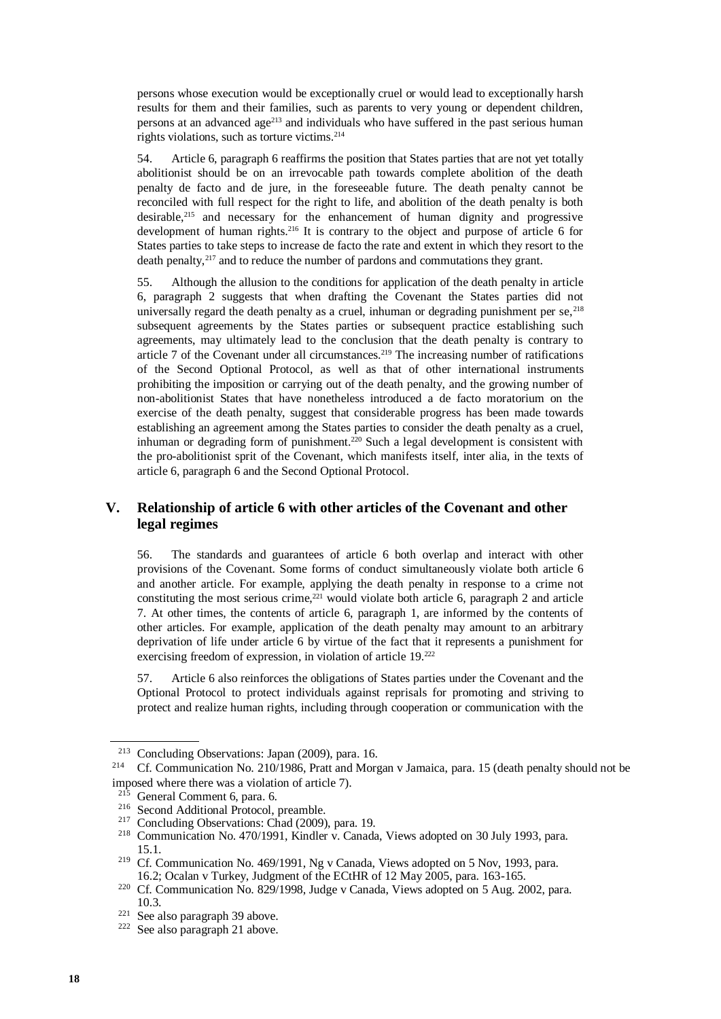persons whose execution would be exceptionally cruel or would lead to exceptionally harsh results for them and their families, such as parents to very young or dependent children, persons at an advanced age<sup>213</sup> and individuals who have suffered in the past serious human rights violations, such as torture victims.<sup>214</sup>

54. Article 6, paragraph 6 reaffirms the position that States parties that are not yet totally abolitionist should be on an irrevocable path towards complete abolition of the death penalty de facto and de jure, in the foreseeable future. The death penalty cannot be reconciled with full respect for the right to life, and abolition of the death penalty is both desirable,<sup>215</sup> and necessary for the enhancement of human dignity and progressive development of human rights.<sup>216</sup> It is contrary to the object and purpose of article 6 for States parties to take steps to increase de facto the rate and extent in which they resort to the death penalty,<sup>217</sup> and to reduce the number of pardons and commutations they grant.

55. Although the allusion to the conditions for application of the death penalty in article 6, paragraph 2 suggests that when drafting the Covenant the States parties did not universally regard the death penalty as a cruel, inhuman or degrading punishment per se,  $^{218}$ subsequent agreements by the States parties or subsequent practice establishing such agreements, may ultimately lead to the conclusion that the death penalty is contrary to article 7 of the Covenant under all circumstances.<sup>219</sup> The increasing number of ratifications of the Second Optional Protocol, as well as that of other international instruments prohibiting the imposition or carrying out of the death penalty, and the growing number of non-abolitionist States that have nonetheless introduced a de facto moratorium on the exercise of the death penalty, suggest that considerable progress has been made towards establishing an agreement among the States parties to consider the death penalty as a cruel, inhuman or degrading form of punishment.<sup>220</sup> Such a legal development is consistent with the pro-abolitionist sprit of the Covenant, which manifests itself, inter alia, in the texts of article 6, paragraph 6 and the Second Optional Protocol.

#### **V. Relationship of article 6 with other articles of the Covenant and other legal regimes**

56. The standards and guarantees of article 6 both overlap and interact with other provisions of the Covenant. Some forms of conduct simultaneously violate both article 6 and another article. For example, applying the death penalty in response to a crime not constituting the most serious crime, $221$  would violate both article 6, paragraph 2 and article 7. At other times, the contents of article 6, paragraph 1, are informed by the contents of other articles. For example, application of the death penalty may amount to an arbitrary deprivation of life under article 6 by virtue of the fact that it represents a punishment for exercising freedom of expression, in violation of article 19.<sup>222</sup>

57. Article 6 also reinforces the obligations of States parties under the Covenant and the Optional Protocol to protect individuals against reprisals for promoting and striving to protect and realize human rights, including through cooperation or communication with the

<sup>213</sup> Concluding Observations: Japan (2009), para. 16.

<sup>214</sup> Cf. Communication No. 210/1986, Pratt and Morgan v Jamaica, para. 15 (death penalty should not be imposed where there was a violation of article 7).

 $215$  General Comment 6, para. 6.

<sup>&</sup>lt;sup>216</sup> Second Additional Protocol, preamble.

<sup>217</sup> Concluding Observations: Chad (2009), para. 19.

<sup>218</sup> Communication No. 470/1991, Kindler v. Canada, Views adopted on 30 July 1993, para. 15.1.

<sup>219</sup> Cf. Communication No. 469/1991, Ng v Canada, Views adopted on 5 Nov, 1993, para. 16.2; Ocalan v Turkey, Judgment of the ECtHR of 12 May 2005, para. 163-165.

<sup>&</sup>lt;sup>220</sup> Cf. Communication No. 829/1998, Judge v Canada, Views adopted on 5 Aug. 2002, para. 10.3.

<sup>221</sup> See also paragraph 39 above.

 $222$  See also paragraph 21 above.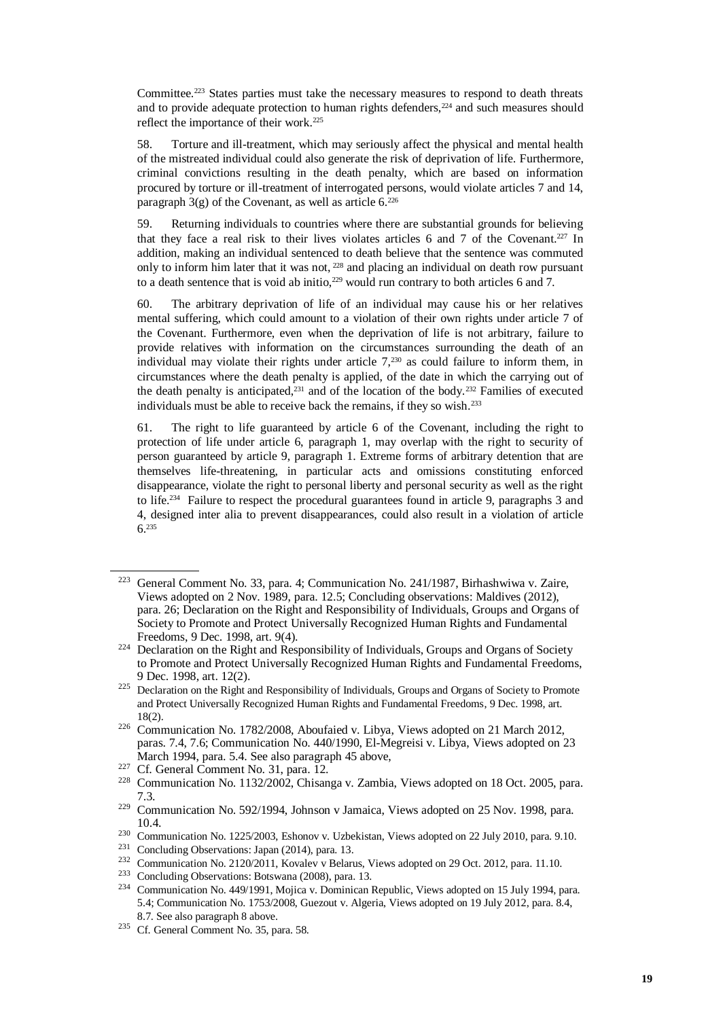Committee.<sup>223</sup> States parties must take the necessary measures to respond to death threats and to provide adequate protection to human rights defenders,<sup>224</sup> and such measures should reflect the importance of their work.<sup>225</sup>

58. Torture and ill-treatment, which may seriously affect the physical and mental health of the mistreated individual could also generate the risk of deprivation of life. Furthermore, criminal convictions resulting in the death penalty, which are based on information procured by torture or ill-treatment of interrogated persons, would violate articles 7 and 14, paragraph  $3(g)$  of the Covenant, as well as article 6.<sup>226</sup>

59. Returning individuals to countries where there are substantial grounds for believing that they face a real risk to their lives violates articles 6 and 7 of the Covenant.<sup>227</sup> In addition, making an individual sentenced to death believe that the sentence was commuted only to inform him later that it was not, <sup>228</sup> and placing an individual on death row pursuant to a death sentence that is void ab initio,  $229$  would run contrary to both articles 6 and 7.

60. The arbitrary deprivation of life of an individual may cause his or her relatives mental suffering, which could amount to a violation of their own rights under article 7 of the Covenant. Furthermore, even when the deprivation of life is not arbitrary, failure to provide relatives with information on the circumstances surrounding the death of an individual may violate their rights under article  $7<sub>,230</sub>$  as could failure to inform them, in circumstances where the death penalty is applied, of the date in which the carrying out of the death penalty is anticipated, $^{231}$  and of the location of the body. $^{232}$  Families of executed individuals must be able to receive back the remains, if they so wish.<sup>233</sup>

61. The right to life guaranteed by article 6 of the Covenant, including the right to protection of life under article 6, paragraph 1, may overlap with the right to security of person guaranteed by article 9, paragraph 1. Extreme forms of arbitrary detention that are themselves life-threatening, in particular acts and omissions constituting enforced disappearance, violate the right to personal liberty and personal security as well as the right to life.<sup>234</sup> Failure to respect the procedural guarantees found in article 9, paragraphs 3 and 4, designed inter alia to prevent disappearances, could also result in a violation of article 6.<sup>235</sup>

<sup>223</sup> General Comment No. 33, para. 4; Communication No. 241/1987, Birhashwiwa v. Zaire, Views adopted on 2 Nov. 1989, para. 12.5; Concluding observations: Maldives (2012), para. 26; Declaration on the Right and Responsibility of Individuals, Groups and Organs of Society to Promote and Protect Universally Recognized Human Rights and Fundamental Freedoms, 9 Dec. 1998, art. 9(4).

<sup>&</sup>lt;sup>224</sup> Declaration on the Right and Responsibility of Individuals, Groups and Organs of Society to Promote and Protect Universally Recognized Human Rights and Fundamental Freedoms, 9 Dec. 1998, art. 12(2).

<sup>&</sup>lt;sup>225</sup> Declaration on the Right and Responsibility of Individuals, Groups and Organs of Society to Promote and Protect Universally Recognized Human Rights and Fundamental Freedoms, 9 Dec. 1998, art. 18(2).

<sup>226</sup> Communication No. 1782/2008, Aboufaied v. Libya, Views adopted on 21 March 2012, paras. 7.4, 7.6; Communication No. 440/1990, El-Megreisi v. Libya, Views adopted on 23 March 1994, para. 5.4. See also paragraph 45 above,

<sup>227</sup> Cf. General Comment No. 31, para. 12.

<sup>228</sup> Communication No. 1132/2002, Chisanga v. Zambia, Views adopted on 18 Oct. 2005, para. 7.3.

<sup>229</sup> Communication No. 592/1994, Johnson v Jamaica, Views adopted on 25 Nov. 1998, para. 10.4.

<sup>230</sup> Communication No. 1225/2003, Eshonov v. Uzbekistan, Views adopted on 22 July 2010, para. 9.10.

<sup>231</sup> Concluding Observations: Japan (2014), para. 13.

<sup>&</sup>lt;sup>232</sup> Communication No. 2120/2011, Kovalev v Belarus, Views adopted on 29 Oct. 2012, para. 11.10.

<sup>233</sup> Concluding Observations: Botswana (2008), para. 13.

<sup>234</sup> Communication No. 449/1991, Mojica v. Dominican Republic, Views adopted on 15 July 1994, para. 5.4; Communication No. 1753/2008, Guezout v. Algeria, Views adopted on 19 July 2012, para. 8.4, 8.7. See also paragraph 8 above.

<sup>235</sup> Cf. General Comment No. 35, para. 58.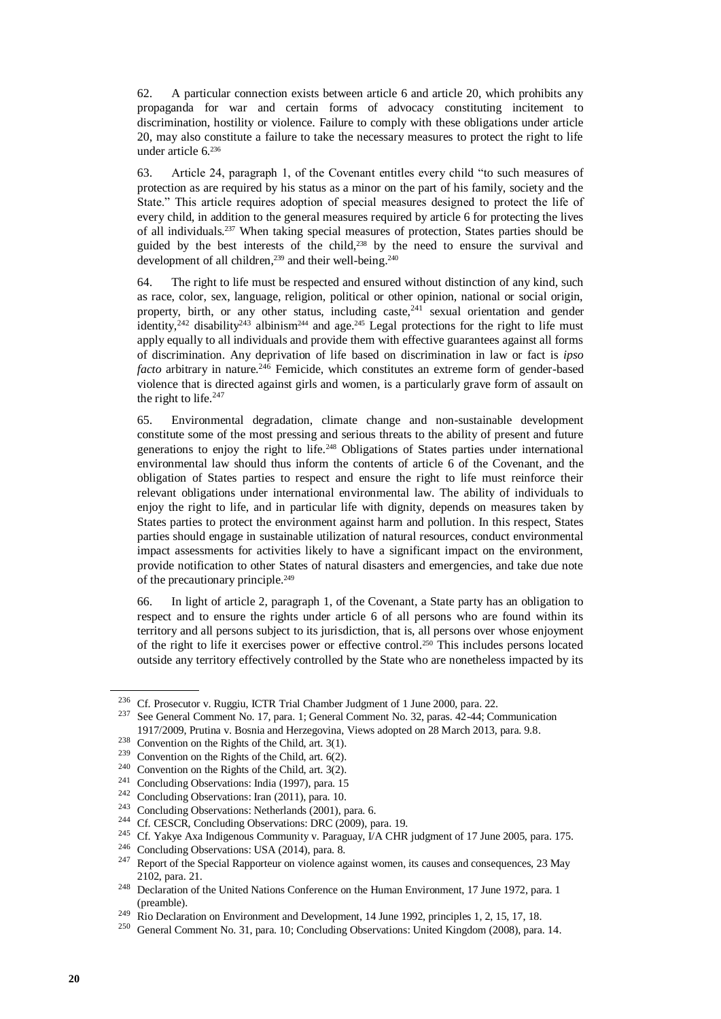62. A particular connection exists between article 6 and article 20, which prohibits any propaganda for war and certain forms of advocacy constituting incitement to discrimination, hostility or violence. Failure to comply with these obligations under article 20, may also constitute a failure to take the necessary measures to protect the right to life under article 6.<sup>236</sup>

63. Article 24, paragraph 1, of the Covenant entitles every child "to such measures of protection as are required by his status as a minor on the part of his family, society and the State." This article requires adoption of special measures designed to protect the life of every child, in addition to the general measures required by article 6 for protecting the lives of all individuals.<sup>237</sup> When taking special measures of protection, States parties should be guided by the best interests of the child,<sup>238</sup> by the need to ensure the survival and development of all children,<sup>239</sup> and their well-being.<sup>240</sup>

64. The right to life must be respected and ensured without distinction of any kind, such as race, color, sex, language, religion, political or other opinion, national or social origin, property, birth, or any other status, including caste,  $241$  sexual orientation and gender identity,<sup>242</sup> disability<sup>243</sup> albinism<sup>244</sup> and age.<sup>245</sup> Legal protections for the right to life must apply equally to all individuals and provide them with effective guarantees against all forms of discrimination. Any deprivation of life based on discrimination in law or fact is *ipso facto* arbitrary in nature.<sup>246</sup> Femicide, which constitutes an extreme form of gender-based violence that is directed against girls and women, is a particularly grave form of assault on the right to life. $247$ 

65. Environmental degradation, climate change and non-sustainable development constitute some of the most pressing and serious threats to the ability of present and future generations to enjoy the right to life.<sup>248</sup> Obligations of States parties under international environmental law should thus inform the contents of article 6 of the Covenant, and the obligation of States parties to respect and ensure the right to life must reinforce their relevant obligations under international environmental law. The ability of individuals to enjoy the right to life, and in particular life with dignity, depends on measures taken by States parties to protect the environment against harm and pollution. In this respect, States parties should engage in sustainable utilization of natural resources, conduct environmental impact assessments for activities likely to have a significant impact on the environment, provide notification to other States of natural disasters and emergencies, and take due note of the precautionary principle. 249

66. In light of article 2, paragraph 1, of the Covenant, a State party has an obligation to respect and to ensure the rights under article 6 of all persons who are found within its territory and all persons subject to its jurisdiction, that is, all persons over whose enjoyment of the right to life it exercises power or effective control.<sup>250</sup> This includes persons located outside any territory effectively controlled by the State who are nonetheless impacted by its

<sup>236</sup> Cf. Prosecutor v. Ruggiu, ICTR Trial Chamber Judgment of 1 June 2000, para. 22.

<sup>237</sup> See General Comment No. 17, para. 1; General Comment No. 32, paras. 42-44; Communication 1917/2009, Prutina v. Bosnia and Herzegovina, Views adopted on 28 March 2013, para. 9.8.

<sup>238</sup> Convention on the Rights of the Child, art. 3(1).

<sup>&</sup>lt;sup>239</sup> Convention on the Rights of the Child, art.  $6(2)$ .

<sup>240</sup> Convention on the Rights of the Child, art. 3(2).

<sup>241</sup> Concluding Observations: India (1997), para. 15

<sup>242</sup> Concluding Observations: Iran (2011), para. 10.

<sup>243</sup> Concluding Observations: Netherlands (2001), para. 6.

<sup>&</sup>lt;sup>244</sup> Cf. CESCR, Concluding Observations: DRC (2009), para. 19.

<sup>&</sup>lt;sup>245</sup> Cf. Yakye Axa Indigenous Community v. Paraguay,  $\hat{V}$ A CHR judgment of 17 June 2005, para. 175.

<sup>246</sup> Concluding Observations: USA (2014), para. 8.

<sup>&</sup>lt;sup>247</sup> Report of the Special Rapporteur on violence against women, its causes and consequences, 23 May 2102, para. 21.

<sup>&</sup>lt;sup>248</sup> Declaration of the United Nations Conference on the Human Environment, 17 June 1972, para. 1 (preamble).

<sup>&</sup>lt;sup>249</sup> Rio Declaration on Environment and Development, 14 June 1992, principles 1, 2, 15, 17, 18.

<sup>250</sup> General Comment No. 31, para. 10; Concluding Observations: United Kingdom (2008), para. 14.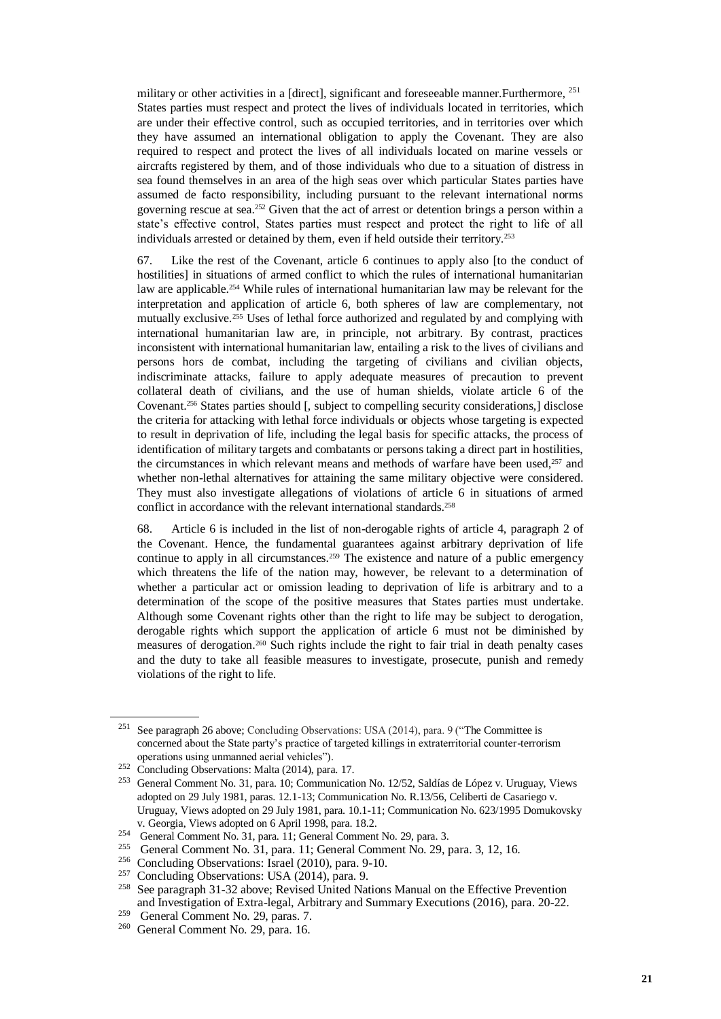military or other activities in a [direct], significant and foreseeable manner. Furthermore, <sup>251</sup> States parties must respect and protect the lives of individuals located in territories, which are under their effective control, such as occupied territories, and in territories over which they have assumed an international obligation to apply the Covenant. They are also required to respect and protect the lives of all individuals located on marine vessels or aircrafts registered by them, and of those individuals who due to a situation of distress in sea found themselves in an area of the high seas over which particular States parties have assumed de facto responsibility, including pursuant to the relevant international norms governing rescue at sea.<sup>252</sup> Given that the act of arrest or detention brings a person within a state's effective control, States parties must respect and protect the right to life of all individuals arrested or detained by them, even if held outside their territory.<sup>253</sup>

67. Like the rest of the Covenant, article 6 continues to apply also [to the conduct of hostilities] in situations of armed conflict to which the rules of international humanitarian law are applicable.<sup>254</sup> While rules of international humanitarian law may be relevant for the interpretation and application of article 6, both spheres of law are complementary, not mutually exclusive.<sup>255</sup> Uses of lethal force authorized and regulated by and complying with international humanitarian law are, in principle, not arbitrary. By contrast, practices inconsistent with international humanitarian law, entailing a risk to the lives of civilians and persons hors de combat, including the targeting of civilians and civilian objects, indiscriminate attacks, failure to apply adequate measures of precaution to prevent collateral death of civilians, and the use of human shields, violate article 6 of the Covenant.<sup>256</sup> States parties should [, subject to compelling security considerations,] disclose the criteria for attacking with lethal force individuals or objects whose targeting is expected to result in deprivation of life, including the legal basis for specific attacks, the process of identification of military targets and combatants or persons taking a direct part in hostilities, the circumstances in which relevant means and methods of warfare have been used,<sup>257</sup> and whether non-lethal alternatives for attaining the same military objective were considered. They must also investigate allegations of violations of article 6 in situations of armed conflict in accordance with the relevant international standards.<sup>258</sup>

68. Article 6 is included in the list of non-derogable rights of article 4, paragraph 2 of the Covenant. Hence, the fundamental guarantees against arbitrary deprivation of life continue to apply in all circumstances.<sup>259</sup> The existence and nature of a public emergency which threatens the life of the nation may, however, be relevant to a determination of whether a particular act or omission leading to deprivation of life is arbitrary and to a determination of the scope of the positive measures that States parties must undertake. Although some Covenant rights other than the right to life may be subject to derogation, derogable rights which support the application of article 6 must not be diminished by measures of derogation.<sup>260</sup> Such rights include the right to fair trial in death penalty cases and the duty to take all feasible measures to investigate, prosecute, punish and remedy violations of the right to life.

<sup>251</sup> See paragraph 26 above; Concluding Observations: USA (2014), para. 9 ("The Committee is concerned about the State party's practice of targeted killings in extraterritorial counter-terrorism operations using unmanned aerial vehicles").

<sup>252</sup> Concluding Observations: Malta (2014), para. 17.

<sup>253</sup> General Comment No. 31, para. 10; Communication No. 12/52, Saldías de López v. Uruguay, Views adopted on 29 July 1981, paras. 12.1-13; Communication No. R.13/56, Celiberti de Casariego v. Uruguay, Views adopted on 29 July 1981, para. 10.1-11; Communication No. 623/1995 Domukovsky v. Georgia, Views adopted on 6 April 1998, para. 18.2.

 $254$  General Comment No. 31, para. 11; General Comment No. 29, para. 3.<br> $255$  General Comment No. 31, para. 11; General Comment No. 20, para.

<sup>255</sup> General Comment No. 31, para. 11; General Comment No. 29, para. 3, 12, 16.

<sup>256</sup> Concluding Observations: Israel (2010), para. 9-10.

<sup>&</sup>lt;sup>257</sup> Concluding Observations: USA (2014), para. 9.

<sup>&</sup>lt;sup>258</sup> See paragraph 31-32 above; Revised United Nations Manual on the Effective Prevention and Investigation of Extra-legal, Arbitrary and Summary Executions (2016), para. 20-22.

<sup>259</sup> General Comment No. 29, paras. 7.

<sup>260</sup> General Comment No. 29, para. 16.